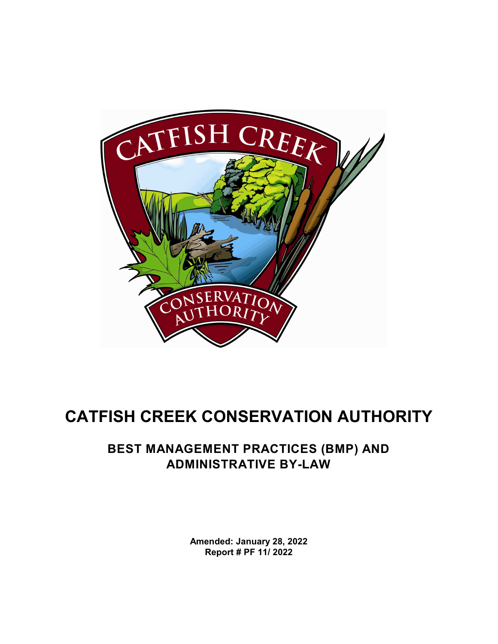

# **CATFISH CREEK CONSERVATION AUTHORITY**

# **BEST MANAGEMENT PRACTICES (BMP) AND ADMINISTRATIVE BY-LAW**

**Amended: January 28, 2022 Report # PF 11/ 2022**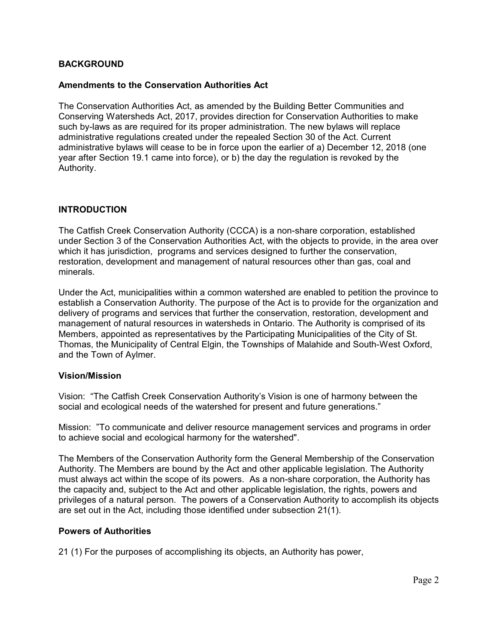#### **BACKGROUND**

#### **Amendments to the Conservation Authorities Act**

The Conservation Authorities Act, as amended by the Building Better Communities and Conserving Watersheds Act, 2017, provides direction for Conservation Authorities to make such by-laws as are required for its proper administration. The new bylaws will replace administrative regulations created under the repealed Section 30 of the Act. Current administrative bylaws will cease to be in force upon the earlier of a) December 12, 2018 (one year after Section 19.1 came into force), or b) the day the regulation is revoked by the Authority.

#### **INTRODUCTION**

The Catfish Creek Conservation Authority (CCCA) is a non-share corporation, established under Section 3 of the Conservation Authorities Act, with the objects to provide, in the area over which it has jurisdiction, programs and services designed to further the conservation, restoration, development and management of natural resources other than gas, coal and minerals.

Under the Act, municipalities within a common watershed are enabled to petition the province to establish a Conservation Authority. The purpose of the Act is to provide for the organization and delivery of programs and services that further the conservation, restoration, development and management of natural resources in watersheds in Ontario. The Authority is comprised of its Members, appointed as representatives by the Participating Municipalities of the City of St. Thomas, the Municipality of Central Elgin, the Townships of Malahide and South-West Oxford, and the Town of Aylmer.

#### **Vision/Mission**

Vision: "The Catfish Creek Conservation Authority's Vision is one of harmony between the social and ecological needs of the watershed for present and future generations."

Mission: "To communicate and deliver resource management services and programs in order to achieve social and ecological harmony for the watershed".

The Members of the Conservation Authority form the General Membership of the Conservation Authority. The Members are bound by the Act and other applicable legislation. The Authority must always act within the scope of its powers. As a non-share corporation, the Authority has the capacity and, subject to the Act and other applicable legislation, the rights, powers and privileges of a natural person. The powers of a Conservation Authority to accomplish its objects are set out in the Act, including those identified under subsection 21(1).

#### **Powers of Authorities**

21 (1) For the purposes of accomplishing its objects, an Authority has power,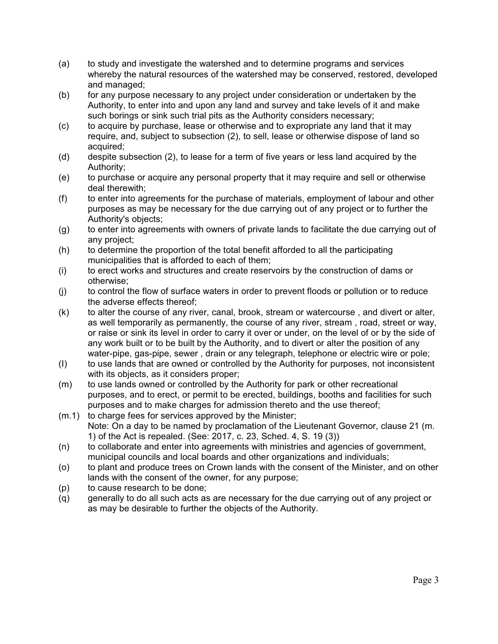- (a) to study and investigate the watershed and to determine programs and services whereby the natural resources of the watershed may be conserved, restored, developed and managed;
- (b) for any purpose necessary to any project under consideration or undertaken by the Authority, to enter into and upon any land and survey and take levels of it and make such borings or sink such trial pits as the Authority considers necessary;
- (c) to acquire by purchase, lease or otherwise and to expropriate any land that it may require, and, subject to subsection (2), to sell, lease or otherwise dispose of land so acquired;
- (d) despite subsection (2), to lease for a term of five years or less land acquired by the Authority;
- (e) to purchase or acquire any personal property that it may require and sell or otherwise deal therewith;
- (f) to enter into agreements for the purchase of materials, employment of labour and other purposes as may be necessary for the due carrying out of any project or to further the Authority's objects;
- (g) to enter into agreements with owners of private lands to facilitate the due carrying out of any project;
- (h) to determine the proportion of the total benefit afforded to all the participating municipalities that is afforded to each of them;
- (i) to erect works and structures and create reservoirs by the construction of dams or otherwise;
- (j) to control the flow of surface waters in order to prevent floods or pollution or to reduce the adverse effects thereof;
- (k) to alter the course of any river, canal, brook, stream or watercourse , and divert or alter, as well temporarily as permanently, the course of any river, stream , road, street or way, or raise or sink its level in order to carry it over or under, on the level of or by the side of any work built or to be built by the Authority, and to divert or alter the position of any water-pipe, gas-pipe, sewer , drain or any telegraph, telephone or electric wire or pole;
- (I) to use lands that are owned or controlled by the Authority for purposes, not inconsistent with its objects, as it considers proper;
- (m) to use lands owned or controlled by the Authority for park or other recreational purposes, and to erect, or permit to be erected, buildings, booths and facilities for such purposes and to make charges for admission thereto and the use thereof;
- (m.1) to charge fees for services approved by the Minister; Note: On a day to be named by proclamation of the Lieutenant Governor, clause 21 (m. 1) of the Act is repealed. (See: 2017, c. 23, Sched. 4, S. 19 (3))
- (n) to collaborate and enter into agreements with ministries and agencies of government, municipal councils and local boards and other organizations and individuals;
- (o) to plant and produce trees on Crown lands with the consent of the Minister, and on other lands with the consent of the owner, for any purpose;
- (p) to cause research to be done;
- (q) generally to do all such acts as are necessary for the due carrying out of any project or as may be desirable to further the objects of the Authority.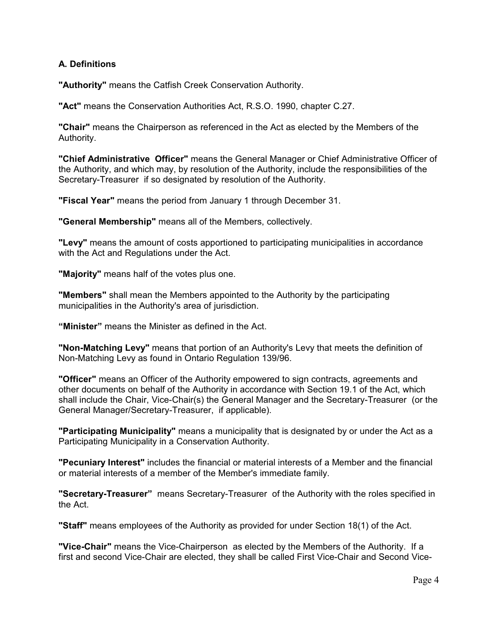# **A. Definitions**

**"Authority"** means the Catfish Creek Conservation Authority.

**"Act"** means the Conservation Authorities Act, R.S.O. 1990, chapter C.27.

**"Chair"** means the Chairperson as referenced in the Act as elected by the Members of the Authority.

**"Chief Administrative Officer"** means the General Manager or Chief Administrative Officer of the Authority, and which may, by resolution of the Authority, include the responsibilities of the Secretary-Treasurer if so designated by resolution of the Authority.

**"Fiscal Year"** means the period from January 1 through December 31.

**"General Membership"** means all of the Members, collectively.

**"Levy"** means the amount of costs apportioned to participating municipalities in accordance with the Act and Regulations under the Act.

**"Majority"** means half of the votes plus one.

**"Members"** shall mean the Members appointed to the Authority by the participating municipalities in the Authority's area of jurisdiction.

**"Minister"** means the Minister as defined in the Act.

**"Non-Matching Levy"** means that portion of an Authority's Levy that meets the definition of Non-Matching Levy as found in Ontario Regulation 139/96.

**"Officer"** means an Officer of the Authority empowered to sign contracts, agreements and other documents on behalf of the Authority in accordance with Section 19.1 of the Act, which shall include the Chair, Vice-Chair(s) the General Manager and the Secretary-Treasurer (or the General Manager/Secretary-Treasurer, if applicable).

**"Participating Municipality"** means a municipality that is designated by or under the Act as a Participating Municipality in a Conservation Authority.

**"Pecuniary Interest"** includes the financial or material interests of a Member and the financial or material interests of a member of the Member's immediate family.

**"Secretary-Treasurer"** means Secretary-Treasurer of the Authority with the roles specified in the Act.

**"Staff"** means employees of the Authority as provided for under Section 18(1) of the Act.

**"Vice-Chair"** means the Vice-Chairperson as elected by the Members of the Authority. If a first and second Vice-Chair are elected, they shall be called First Vice-Chair and Second Vice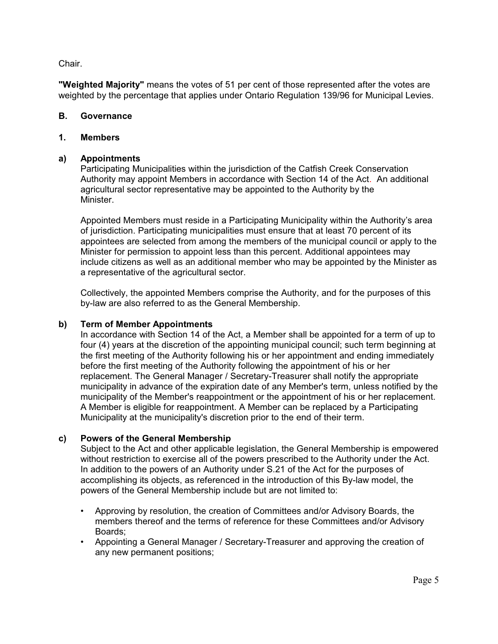Chair.

**"Weighted Majority"** means the votes of 51 per cent of those represented after the votes are weighted by the percentage that applies under Ontario Regulation 139/96 for Municipal Levies.

#### **B. Governance**

#### **1. Members**

#### **a) Appointments**

Participating Municipalities within the jurisdiction of the Catfish Creek Conservation Authority may appoint Members in accordance with Section 14 of the Act. An additional agricultural sector representative may be appointed to the Authority by the Minister.

Appointed Members must reside in a Participating Municipality within the Authority's area of jurisdiction. Participating municipalities must ensure that at least 70 percent of its appointees are selected from among the members of the municipal council or apply to the Minister for permission to appoint less than this percent. Additional appointees may include citizens as well as an additional member who may be appointed by the Minister as a representative of the agricultural sector.

Collectively, the appointed Members comprise the Authority, and for the purposes of this by-law are also referred to as the General Membership.

#### **b) Term of Member Appointments**

In accordance with Section 14 of the Act, a Member shall be appointed for a term of up to four (4) years at the discretion of the appointing municipal council; such term beginning at the first meeting of the Authority following his or her appointment and ending immediately before the first meeting of the Authority following the appointment of his or her replacement. The General Manager / Secretary-Treasurer shall notify the appropriate municipality in advance of the expiration date of any Member's term, unless notified by the municipality of the Member's reappointment or the appointment of his or her replacement. A Member is eligible for reappointment. A Member can be replaced by a Participating Municipality at the municipality's discretion prior to the end of their term.

# **c) Powers of the General Membership**

Subject to the Act and other applicable legislation, the General Membership is empowered without restriction to exercise all of the powers prescribed to the Authority under the Act. In addition to the powers of an Authority under S.21 of the Act for the purposes of accomplishing its objects, as referenced in the introduction of this By-law model, the powers of the General Membership include but are not limited to:

- Approving by resolution, the creation of Committees and/or Advisory Boards, the members thereof and the terms of reference for these Committees and/or Advisory Boards;
- Appointing a General Manager / Secretary-Treasurer and approving the creation of any new permanent positions;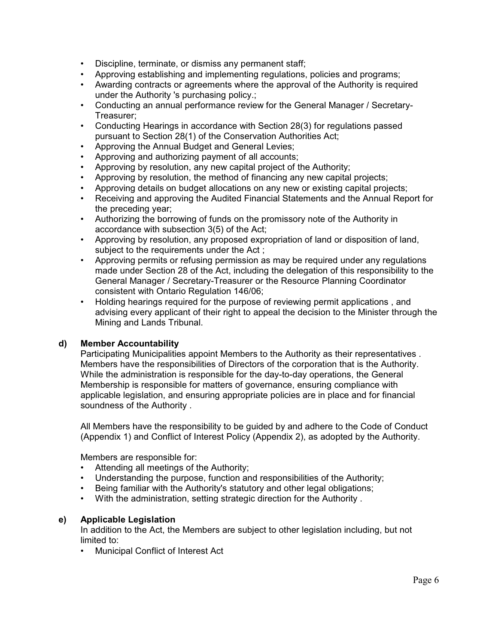- Discipline, terminate, or dismiss any permanent staff;
- Approving establishing and implementing regulations, policies and programs;
- Awarding contracts or agreements where the approval of the Authority is required under the Authority 's purchasing policy.;
- Conducting an annual performance review for the General Manager / Secretary-Treasurer;
- Conducting Hearings in accordance with Section 28(3) for regulations passed pursuant to Section 28(1) of the Conservation Authorities Act;
- Approving the Annual Budget and General Levies;
- Approving and authorizing payment of all accounts;
- Approving by resolution, any new capital project of the Authority;
- Approving by resolution, the method of financing any new capital projects;
- Approving details on budget allocations on any new or existing capital projects;
- Receiving and approving the Audited Financial Statements and the Annual Report for the preceding year;
- Authorizing the borrowing of funds on the promissory note of the Authority in accordance with subsection 3(5) of the Act;
- Approving by resolution, any proposed expropriation of land or disposition of land, subject to the requirements under the Act ;
- Approving permits or refusing permission as may be required under any regulations made under Section 28 of the Act, including the delegation of this responsibility to the General Manager / Secretary-Treasurer or the Resource Planning Coordinator consistent with Ontario Regulation 146/06;
- Holding hearings required for the purpose of reviewing permit applications , and advising every applicant of their right to appeal the decision to the Minister through the Mining and Lands Tribunal.

#### **d) Member Accountability**

Participating Municipalities appoint Members to the Authority as their representatives . Members have the responsibilities of Directors of the corporation that is the Authority. While the administration is responsible for the day-to-day operations, the General Membership is responsible for matters of governance, ensuring compliance with applicable legislation, and ensuring appropriate policies are in place and for financial soundness of the Authority .

All Members have the responsibility to be guided by and adhere to the Code of Conduct (Appendix 1) and Conflict of Interest Policy (Appendix 2), as adopted by the Authority.

Members are responsible for:

- Attending all meetings of the Authority;
- Understanding the purpose, function and responsibilities of the Authority;
- Being familiar with the Authority's statutory and other legal obligations;
- With the administration, setting strategic direction for the Authority .

# **e) Applicable Legislation**

In addition to the Act, the Members are subject to other legislation including, but not limited to:

• Municipal Conflict of Interest Act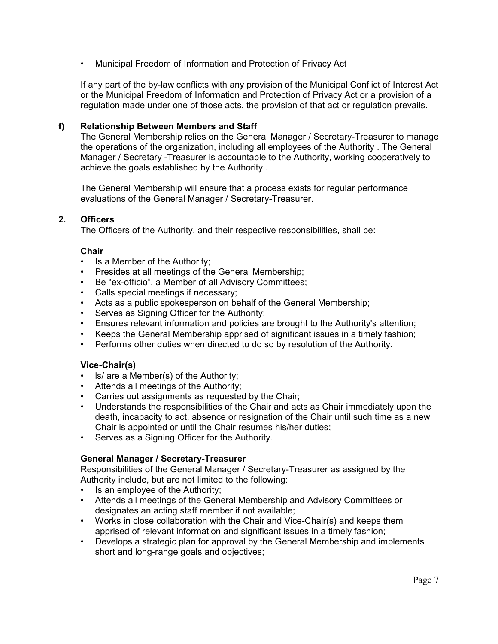• Municipal Freedom of Information and Protection of Privacy Act

If any part of the by-law conflicts with any provision of the Municipal Conflict of Interest Act or the Municipal Freedom of Information and Protection of Privacy Act or a provision of a regulation made under one of those acts, the provision of that act or regulation prevails.

# **f) Relationship Between Members and Staff**

The General Membership relies on the General Manager / Secretary-Treasurer to manage the operations of the organization, including all employees of the Authority . The General Manager / Secretary -Treasurer is accountable to the Authority, working cooperatively to achieve the goals established by the Authority .

The General Membership will ensure that a process exists for regular performance evaluations of the General Manager / Secretary-Treasurer.

# **2. Officers**

The Officers of the Authority, and their respective responsibilities, shall be:

#### **Chair**

- Is a Member of the Authority;
- Presides at all meetings of the General Membership;
- Be "ex-officio", a Member of all Advisory Committees;
- Calls special meetings if necessary;
- Acts as a public spokesperson on behalf of the General Membership;
- Serves as Signing Officer for the Authority;
- Ensures relevant information and policies are brought to the Authority's attention;
- Keeps the General Membership apprised of significant issues in a timely fashion;
- Performs other duties when directed to do so by resolution of the Authority.

#### **Vice-Chair(s)**

- ls/ are a Member(s) of the Authority;
- Attends all meetings of the Authority;
- Carries out assignments as requested by the Chair;
- Understands the responsibilities of the Chair and acts as Chair immediately upon the death, incapacity to act, absence or resignation of the Chair until such time as a new Chair is appointed or until the Chair resumes his/her duties;
- Serves as a Signing Officer for the Authority.

#### **General Manager / Secretary-Treasurer**

Responsibilities of the General Manager / Secretary-Treasurer as assigned by the Authority include, but are not limited to the following:

- Is an employee of the Authority;
- Attends all meetings of the General Membership and Advisory Committees or designates an acting staff member if not available;
- Works in close collaboration with the Chair and Vice-Chair(s) and keeps them apprised of relevant information and significant issues in a timely fashion;
- Develops a strategic plan for approval by the General Membership and implements short and long-range goals and objectives;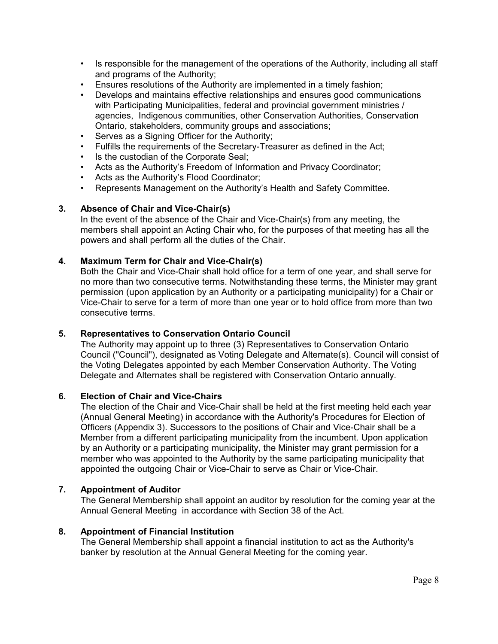- Is responsible for the management of the operations of the Authority, including all staff and programs of the Authority;
- Ensures resolutions of the Authority are implemented in a timely fashion;
- Develops and maintains effective relationships and ensures good communications with Participating Municipalities, federal and provincial government ministries / agencies, Indigenous communities, other Conservation Authorities, Conservation Ontario, stakeholders, community groups and associations;
- Serves as a Signing Officer for the Authority;
- Fulfills the requirements of the Secretary-Treasurer as defined in the Act;
- Is the custodian of the Corporate Seal;
- Acts as the Authority's Freedom of Information and Privacy Coordinator;
- Acts as the Authority's Flood Coordinator;
- Represents Management on the Authority's Health and Safety Committee.

# **3. Absence of Chair and Vice-Chair(s)**

In the event of the absence of the Chair and Vice-Chair(s) from any meeting, the members shall appoint an Acting Chair who, for the purposes of that meeting has all the powers and shall perform all the duties of the Chair.

# **4. Maximum Term for Chair and Vice-Chair(s)**

Both the Chair and Vice-Chair shall hold office for a term of one year, and shall serve for no more than two consecutive terms. Notwithstanding these terms, the Minister may grant permission (upon application by an Authority or a participating municipality) for a Chair or Vice-Chair to serve for a term of more than one year or to hold office from more than two consecutive terms.

# **5. Representatives to Conservation Ontario Council**

The Authority may appoint up to three (3) Representatives to Conservation Ontario Council ("Council"), designated as Voting Delegate and Alternate(s). Council will consist of the Voting Delegates appointed by each Member Conservation Authority. The Voting Delegate and Alternates shall be registered with Conservation Ontario annually.

# **6. Election of Chair and Vice-Chairs**

The election of the Chair and Vice-Chair shall be held at the first meeting held each year (Annual General Meeting) in accordance with the Authority's Procedures for Election of Officers (Appendix 3). Successors to the positions of Chair and Vice-Chair shall be a Member from a different participating municipality from the incumbent. Upon application by an Authority or a participating municipality, the Minister may grant permission for a member who was appointed to the Authority by the same participating municipality that appointed the outgoing Chair or Vice-Chair to serve as Chair or Vice-Chair.

# **7. Appointment of Auditor**

The General Membership shall appoint an auditor by resolution for the coming year at the Annual General Meeting in accordance with Section 38 of the Act.

# **8. Appointment of Financial Institution**

The General Membership shall appoint a financial institution to act as the Authority's banker by resolution at the Annual General Meeting for the coming year.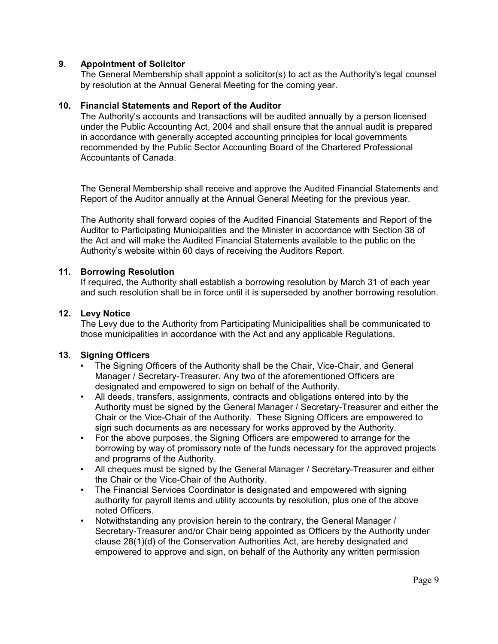# **9. Appointment of Solicitor**

The General Membership shall appoint a solicitor(s) to act as the Authority's legal counsel by resolution at the Annual General Meeting for the coming year.

#### **10. Financial Statements and Report of the Auditor**

The Authority's accounts and transactions will be audited annually by a person licensed under the Public Accounting Act, 2004 and shall ensure that the annual audit is prepared in accordance with generally accepted accounting principles for local governments recommended by the Public Sector Accounting Board of the Chartered Professional Accountants of Canada.

The General Membership shall receive and approve the Audited Financial Statements and Report of the Auditor annually at the Annual General Meeting for the previous year.

The Authority shall forward copies of the Audited Financial Statements and Report of the Auditor to Participating Municipalities and the Minister in accordance with Section 38 of the Act and will make the Audited Financial Statements available to the public on the Authority's website within 60 days of receiving the Auditors Report.

#### **11. Borrowing Resolution**

If required, the Authority shall establish a borrowing resolution by March 31 of each year and such resolution shall be in force until it is superseded by another borrowing resolution.

#### **12. Levy Notice**

The Levy due to the Authority from Participating Municipalities shall be communicated to those municipalities in accordance with the Act and any applicable Regulations.

# **13. Signing Officers**

- The Signing Officers of the Authority shall be the Chair, Vice-Chair, and General Manager / Secretary-Treasurer. Any two of the aforementioned Officers are designated and empowered to sign on behalf of the Authority.
- All deeds, transfers, assignments, contracts and obligations entered into by the Authority must be signed by the General Manager / Secretary-Treasurer and either the Chair or the Vice-Chair of the Authority. These Signing Officers are empowered to sign such documents as are necessary for works approved by the Authority.
- For the above purposes, the Signing Officers are empowered to arrange for the borrowing by way of promissory note of the funds necessary for the approved projects and programs of the Authority.
- All cheques must be signed by the General Manager / Secretary-Treasurer and either the Chair or the Vice-Chair of the Authority.
- The Financial Services Coordinator is designated and empowered with signing authority for payroll items and utility accounts by resolution, plus one of the above noted Officers.
- Notwithstanding any provision herein to the contrary, the General Manager / Secretary-Treasurer and/or Chair being appointed as Officers by the Authority under clause 28(1)(d) of the Conservation Authorities Act, are hereby designated and empowered to approve and sign, on behalf of the Authority any written permission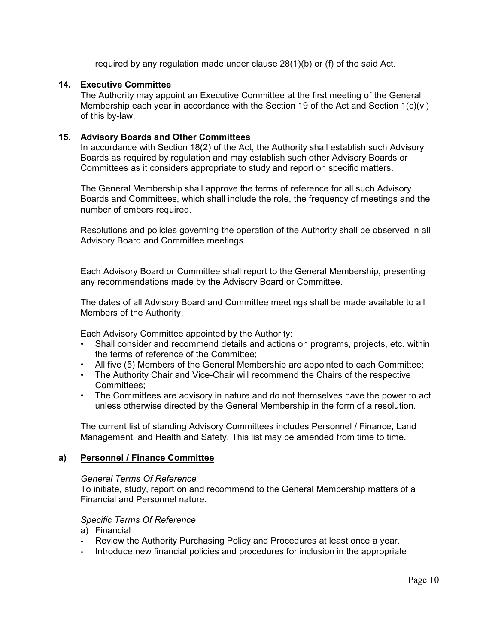required by any regulation made under clause 28(1)(b) or (f) of the said Act.

#### **14. Executive Committee**

The Authority may appoint an Executive Committee at the first meeting of the General Membership each year in accordance with the Section 19 of the Act and Section 1(c)(vi) of this by-law.

#### **15. Advisory Boards and Other Committees**

In accordance with Section 18(2) of the Act, the Authority shall establish such Advisory Boards as required by regulation and may establish such other Advisory Boards or Committees as it considers appropriate to study and report on specific matters.

The General Membership shall approve the terms of reference for all such Advisory Boards and Committees, which shall include the role, the frequency of meetings and the number of embers required.

Resolutions and policies governing the operation of the Authority shall be observed in all Advisory Board and Committee meetings.

Each Advisory Board or Committee shall report to the General Membership, presenting any recommendations made by the Advisory Board or Committee.

The dates of all Advisory Board and Committee meetings shall be made available to all Members of the Authority.

Each Advisory Committee appointed by the Authority:

- Shall consider and recommend details and actions on programs, projects, etc. within the terms of reference of the Committee;
- All five (5) Members of the General Membership are appointed to each Committee;
- The Authority Chair and Vice-Chair will recommend the Chairs of the respective Committees;
- The Committees are advisory in nature and do not themselves have the power to act unless otherwise directed by the General Membership in the form of a resolution.

The current list of standing Advisory Committees includes Personnel / Finance, Land Management, and Health and Safety. This list may be amended from time to time.

#### **a) Personnel / Finance Committee**

#### *General Terms Of Reference*

To initiate, study, report on and recommend to the General Membership matters of a Financial and Personnel nature.

#### *Specific Terms Of Reference*

- a) Financial
- Review the Authority Purchasing Policy and Procedures at least once a year.
- Introduce new financial policies and procedures for inclusion in the appropriate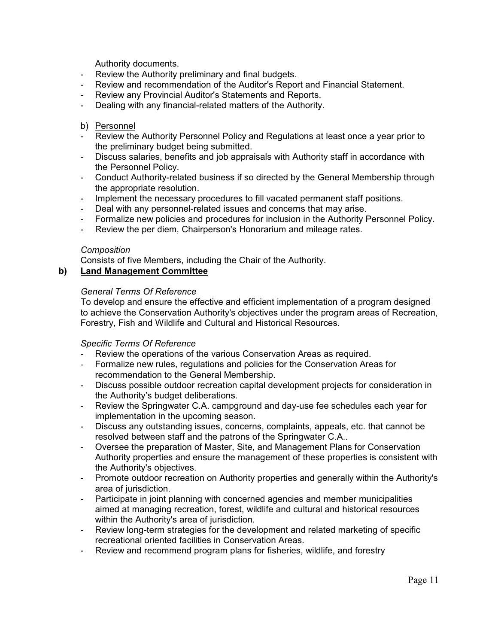Authority documents.

- Review the Authority preliminary and final budgets.
- Review and recommendation of the Auditor's Report and Financial Statement.
- Review any Provincial Auditor's Statements and Reports.
- Dealing with any financial-related matters of the Authority.

#### b) Personnel

- Review the Authority Personnel Policy and Regulations at least once a year prior to the preliminary budget being submitted.
- Discuss salaries, benefits and job appraisals with Authority staff in accordance with the Personnel Policy.
- Conduct Authority-related business if so directed by the General Membership through the appropriate resolution.
- Implement the necessary procedures to fill vacated permanent staff positions.
- Deal with any personnel-related issues and concerns that may arise.
- Formalize new policies and procedures for inclusion in the Authority Personnel Policy.
- Review the per diem, Chairperson's Honorarium and mileage rates.

# *Composition*

Consists of five Members, including the Chair of the Authority.

# **b) Land Management Committee**

# *General Terms Of Reference*

To develop and ensure the effective and efficient implementation of a program designed to achieve the Conservation Authority's objectives under the program areas of Recreation, Forestry, Fish and Wildlife and Cultural and Historical Resources.

# *Specific Terms Of Reference*

- Review the operations of the various Conservation Areas as required.
- Formalize new rules, regulations and policies for the Conservation Areas for recommendation to the General Membership.
- Discuss possible outdoor recreation capital development projects for consideration in the Authority's budget deliberations.
- Review the Springwater C.A. campground and day-use fee schedules each year for implementation in the upcoming season.
- Discuss any outstanding issues, concerns, complaints, appeals, etc. that cannot be resolved between staff and the patrons of the Springwater C.A..
- Oversee the preparation of Master, Site, and Management Plans for Conservation Authority properties and ensure the management of these properties is consistent with the Authority's objectives.
- Promote outdoor recreation on Authority properties and generally within the Authority's area of jurisdiction.
- Participate in joint planning with concerned agencies and member municipalities aimed at managing recreation, forest, wildlife and cultural and historical resources within the Authority's area of jurisdiction.
- Review long-term strategies for the development and related marketing of specific recreational oriented facilities in Conservation Areas.
- Review and recommend program plans for fisheries, wildlife, and forestry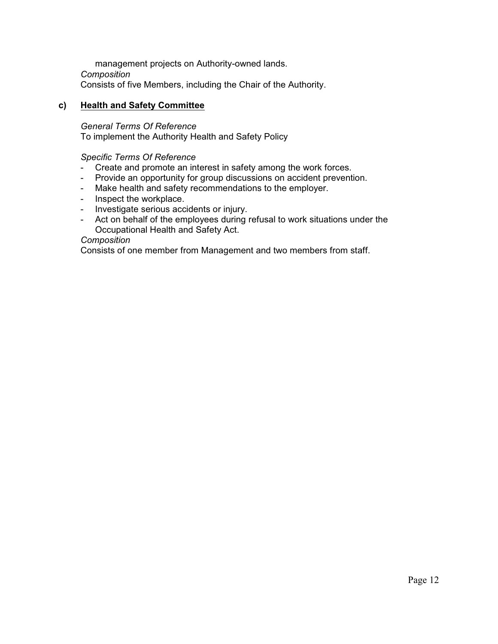management projects on Authority-owned lands. *Composition* Consists of five Members, including the Chair of the Authority.

#### **c) Health and Safety Committee**

*General Terms Of Reference* To implement the Authority Health and Safety Policy

#### *Specific Terms Of Reference*

- Create and promote an interest in safety among the work forces.
- Provide an opportunity for group discussions on accident prevention.
- Make health and safety recommendations to the employer.
- Inspect the workplace.
- Investigate serious accidents or injury.
- Act on behalf of the employees during refusal to work situations under the Occupational Health and Safety Act.

#### *Composition*

Consists of one member from Management and two members from staff.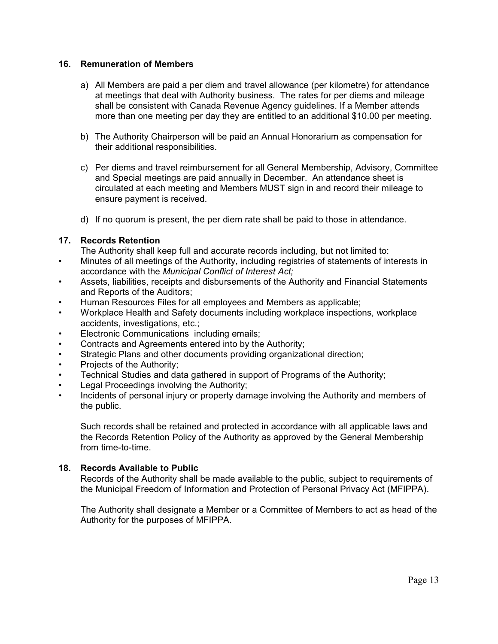#### **16. Remuneration of Members**

- a) All Members are paid a per diem and travel allowance (per kilometre) for attendance at meetings that deal with Authority business. The rates for per diems and mileage shall be consistent with Canada Revenue Agency guidelines. If a Member attends more than one meeting per day they are entitled to an additional \$10.00 per meeting.
- b) The Authority Chairperson will be paid an Annual Honorarium as compensation for their additional responsibilities.
- c) Per diems and travel reimbursement for all General Membership, Advisory, Committee and Special meetings are paid annually in December. An attendance sheet is circulated at each meeting and Members MUST sign in and record their mileage to ensure payment is received.
- d) If no quorum is present, the per diem rate shall be paid to those in attendance.

# **17. Records Retention**

- The Authority shall keep full and accurate records including, but not limited to:
- Minutes of all meetings of the Authority, including registries of statements of interests in accordance with the *Municipal Conflict of Interest Act;*
- Assets, liabilities, receipts and disbursements of the Authority and Financial Statements and Reports of the Auditors;
- Human Resources Files for all employees and Members as applicable;
- Workplace Health and Safety documents including workplace inspections, workplace accidents, investigations, etc.;
- Electronic Communications including emails;
- Contracts and Agreements entered into by the Authority;
- Strategic Plans and other documents providing organizational direction;
- Projects of the Authority;
- Technical Studies and data gathered in support of Programs of the Authority;
- Legal Proceedings involving the Authority;
- Incidents of personal injury or property damage involving the Authority and members of the public.

Such records shall be retained and protected in accordance with all applicable laws and the Records Retention Policy of the Authority as approved by the General Membership from time-to-time.

# **18. Records Available to Public**

Records of the Authority shall be made available to the public, subject to requirements of the Municipal Freedom of Information and Protection of Personal Privacy Act (MFIPPA).

The Authority shall designate a Member or a Committee of Members to act as head of the Authority for the purposes of MFIPPA.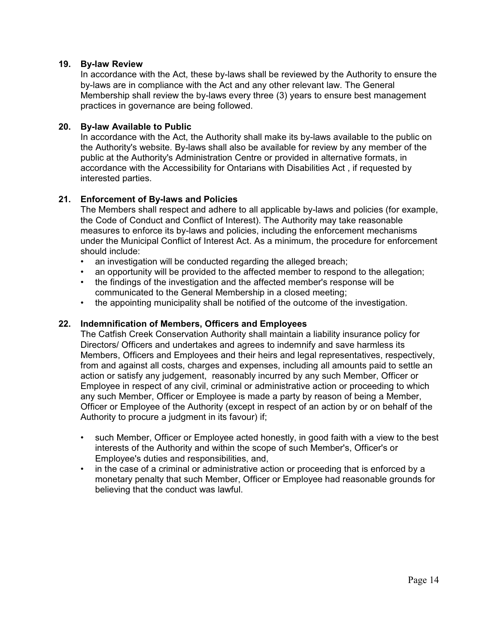#### **19. By-law Review**

In accordance with the Act, these by-laws shall be reviewed by the Authority to ensure the by-laws are in compliance with the Act and any other relevant law. The General Membership shall review the by-laws every three (3) years to ensure best management practices in governance are being followed.

#### **20. By-law Available to Public**

In accordance with the Act, the Authority shall make its by-laws available to the public on the Authority's website. By-laws shall also be available for review by any member of the public at the Authority's Administration Centre or provided in alternative formats, in accordance with the Accessibility for Ontarians with Disabilities Act , if requested by interested parties.

# **21. Enforcement of By-laws and Policies**

The Members shall respect and adhere to all applicable by-laws and policies (for example, the Code of Conduct and Conflict of Interest). The Authority may take reasonable measures to enforce its by-laws and policies, including the enforcement mechanisms under the Municipal Conflict of Interest Act. As a minimum, the procedure for enforcement should include:

- an investigation will be conducted regarding the alleged breach;
- an opportunity will be provided to the affected member to respond to the allegation;<br>• the findings of the investigation and the affected member's response will be
- the findings of the investigation and the affected member's response will be communicated to the General Membership in a closed meeting;
- the appointing municipality shall be notified of the outcome of the investigation.

#### **22. Indemnification of Members, Officers and Employees**

The Catfish Creek Conservation Authority shall maintain a liability insurance policy for Directors/ Officers and undertakes and agrees to indemnify and save harmless its Members, Officers and Employees and their heirs and legal representatives, respectively, from and against all costs, charges and expenses, including all amounts paid to settle an action or satisfy any judgement, reasonably incurred by any such Member, Officer or Employee in respect of any civil, criminal or administrative action or proceeding to which any such Member, Officer or Employee is made a party by reason of being a Member, Officer or Employee of the Authority (except in respect of an action by or on behalf of the Authority to procure a judgment in its favour) if;

- such Member, Officer or Employee acted honestly, in good faith with a view to the best interests of the Authority and within the scope of such Member's, Officer's or Employee's duties and responsibilities, and,
- in the case of a criminal or administrative action or proceeding that is enforced by a monetary penalty that such Member, Officer or Employee had reasonable grounds for believing that the conduct was lawful.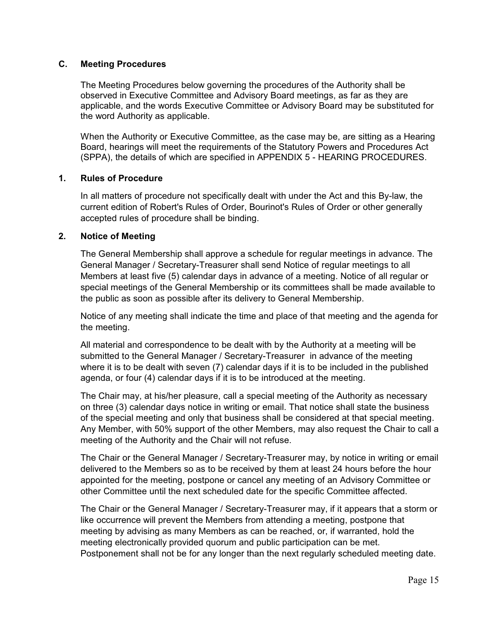#### **C. Meeting Procedures**

The Meeting Procedures below governing the procedures of the Authority shall be observed in Executive Committee and Advisory Board meetings, as far as they are applicable, and the words Executive Committee or Advisory Board may be substituted for the word Authority as applicable.

When the Authority or Executive Committee, as the case may be, are sitting as a Hearing Board, hearings will meet the requirements of the Statutory Powers and Procedures Act (SPPA), the details of which are specified in APPENDIX 5 - HEARING PROCEDURES.

#### **1. Rules of Procedure**

In all matters of procedure not specifically dealt with under the Act and this By-law, the current edition of Robert's Rules of Order, Bourinot's Rules of Order or other generally accepted rules of procedure shall be binding.

#### **2. Notice of Meeting**

The General Membership shall approve a schedule for regular meetings in advance. The General Manager / Secretary-Treasurer shall send Notice of regular meetings to all Members at least five (5) calendar days in advance of a meeting. Notice of all regular or special meetings of the General Membership or its committees shall be made available to the public as soon as possible after its delivery to General Membership.

Notice of any meeting shall indicate the time and place of that meeting and the agenda for the meeting.

All material and correspondence to be dealt with by the Authority at a meeting will be submitted to the General Manager / Secretary-Treasurer in advance of the meeting where it is to be dealt with seven (7) calendar days if it is to be included in the published agenda, or four (4) calendar days if it is to be introduced at the meeting.

The Chair may, at his/her pleasure, call a special meeting of the Authority as necessary on three (3) calendar days notice in writing or email. That notice shall state the business of the special meeting and only that business shall be considered at that special meeting. Any Member, with 50% support of the other Members, may also request the Chair to call a meeting of the Authority and the Chair will not refuse.

The Chair or the General Manager / Secretary-Treasurer may, by notice in writing or email delivered to the Members so as to be received by them at least 24 hours before the hour appointed for the meeting, postpone or cancel any meeting of an Advisory Committee or other Committee until the next scheduled date for the specific Committee affected.

The Chair or the General Manager / Secretary-Treasurer may, if it appears that a storm or like occurrence will prevent the Members from attending a meeting, postpone that meeting by advising as many Members as can be reached, or, if warranted, hold the meeting electronically provided quorum and public participation can be met. Postponement shall not be for any longer than the next regularly scheduled meeting date.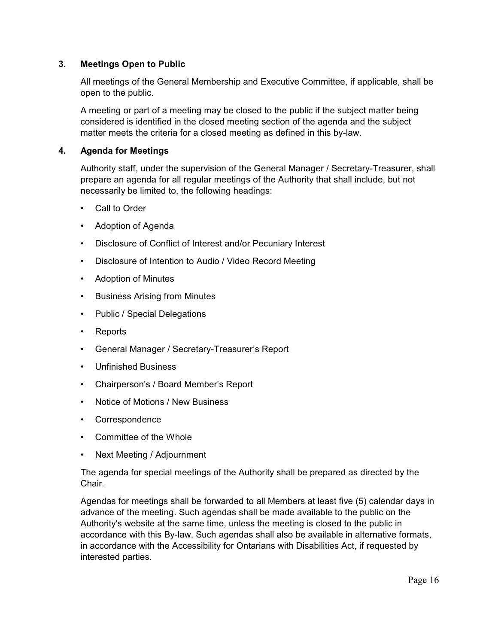# **3. Meetings Open to Public**

All meetings of the General Membership and Executive Committee, if applicable, shall be open to the public.

A meeting or part of a meeting may be closed to the public if the subject matter being considered is identified in the closed meeting section of the agenda and the subject matter meets the criteria for a closed meeting as defined in this by-law.

# **4. Agenda for Meetings**

Authority staff, under the supervision of the General Manager / Secretary-Treasurer, shall prepare an agenda for all regular meetings of the Authority that shall include, but not necessarily be limited to, the following headings:

- Call to Order
- Adoption of Agenda
- Disclosure of Conflict of Interest and/or Pecuniary Interest
- Disclosure of Intention to Audio / Video Record Meeting
- Adoption of Minutes
- Business Arising from Minutes
- Public / Special Delegations
- Reports
- General Manager / Secretary-Treasurer's Report
- Unfinished Business
- Chairperson's / Board Member's Report
- Notice of Motions / New Business
- Correspondence
- Committee of the Whole
- Next Meeting / Adjournment

The agenda for special meetings of the Authority shall be prepared as directed by the Chair.

Agendas for meetings shall be forwarded to all Members at least five (5) calendar days in advance of the meeting. Such agendas shall be made available to the public on the Authority's website at the same time, unless the meeting is closed to the public in accordance with this By-law. Such agendas shall also be available in alternative formats, in accordance with the Accessibility for Ontarians with Disabilities Act, if requested by interested parties.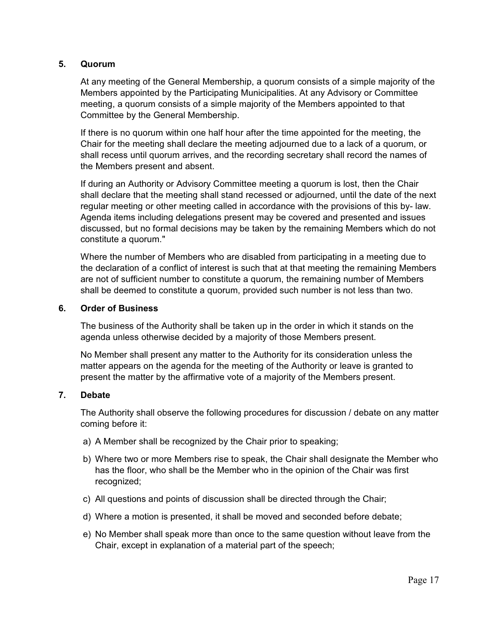# **5. Quorum**

At any meeting of the General Membership, a quorum consists of a simple majority of the Members appointed by the Participating Municipalities. At any Advisory or Committee meeting, a quorum consists of a simple majority of the Members appointed to that Committee by the General Membership.

If there is no quorum within one half hour after the time appointed for the meeting, the Chair for the meeting shall declare the meeting adjourned due to a lack of a quorum, or shall recess until quorum arrives, and the recording secretary shall record the names of the Members present and absent.

If during an Authority or Advisory Committee meeting a quorum is lost, then the Chair shall declare that the meeting shall stand recessed or adjourned, until the date of the next regular meeting or other meeting called in accordance with the provisions of this by- law. Agenda items including delegations present may be covered and presented and issues discussed, but no formal decisions may be taken by the remaining Members which do not constitute a quorum."

Where the number of Members who are disabled from participating in a meeting due to the declaration of a conflict of interest is such that at that meeting the remaining Members are not of sufficient number to constitute a quorum, the remaining number of Members shall be deemed to constitute a quorum, provided such number is not less than two.

#### **6. Order of Business**

The business of the Authority shall be taken up in the order in which it stands on the agenda unless otherwise decided by a majority of those Members present.

No Member shall present any matter to the Authority for its consideration unless the matter appears on the agenda for the meeting of the Authority or leave is granted to present the matter by the affirmative vote of a majority of the Members present.

# **7. Debate**

The Authority shall observe the following procedures for discussion / debate on any matter coming before it:

- a) A Member shall be recognized by the Chair prior to speaking;
- b) Where two or more Members rise to speak, the Chair shall designate the Member who has the floor, who shall be the Member who in the opinion of the Chair was first recognized;
- c) All questions and points of discussion shall be directed through the Chair;
- d) Where a motion is presented, it shall be moved and seconded before debate;
- e) No Member shall speak more than once to the same question without leave from the Chair, except in explanation of a material part of the speech;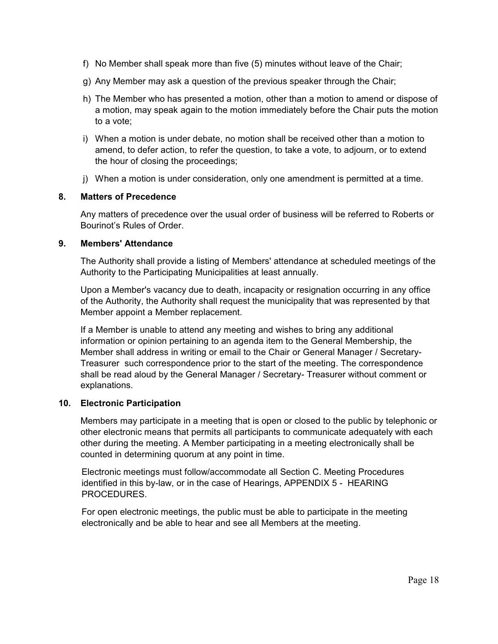- f) No Member shall speak more than five (5) minutes without leave of the Chair;
- g) Any Member may ask a question of the previous speaker through the Chair;
- h) The Member who has presented a motion, other than a motion to amend or dispose of a motion, may speak again to the motion immediately before the Chair puts the motion to a vote;
- i) When a motion is under debate, no motion shall be received other than a motion to amend, to defer action, to refer the question, to take a vote, to adjourn, or to extend the hour of closing the proceedings;
- j) When a motion is under consideration, only one amendment is permitted at a time.

# **8. Matters of Precedence**

Any matters of precedence over the usual order of business will be referred to Roberts or Bourinot's Rules of Order.

# **9. Members' Attendance**

The Authority shall provide a listing of Members' attendance at scheduled meetings of the Authority to the Participating Municipalities at least annually.

Upon a Member's vacancy due to death, incapacity or resignation occurring in any office of the Authority, the Authority shall request the municipality that was represented by that Member appoint a Member replacement.

If a Member is unable to attend any meeting and wishes to bring any additional information or opinion pertaining to an agenda item to the General Membership, the Member shall address in writing or email to the Chair or General Manager / Secretary-Treasurer such correspondence prior to the start of the meeting. The correspondence shall be read aloud by the General Manager / Secretary- Treasurer without comment or explanations.

# **10. Electronic Participation**

Members may participate in a meeting that is open or closed to the public by telephonic or other electronic means that permits all participants to communicate adequately with each other during the meeting. A Member participating in a meeting electronically shall be counted in determining quorum at any point in time.

Electronic meetings must follow/accommodate all Section C. Meeting Procedures identified in this by-law, or in the case of Hearings, APPENDIX 5 - HEARING PROCEDURES.

For open electronic meetings, the public must be able to participate in the meeting electronically and be able to hear and see all Members at the meeting.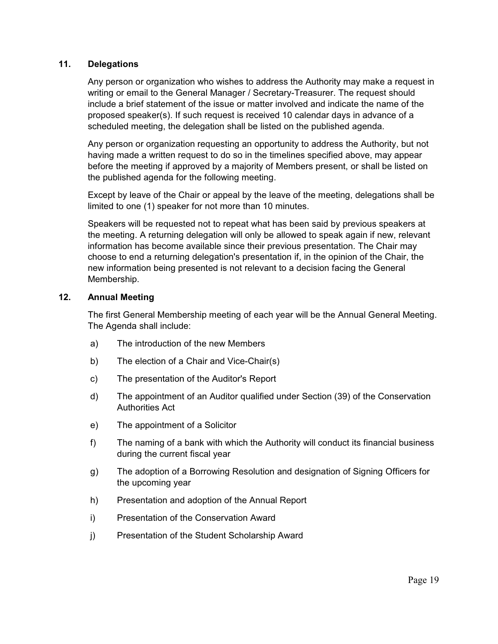# **11. Delegations**

Any person or organization who wishes to address the Authority may make a request in writing or email to the General Manager / Secretary-Treasurer. The request should include a brief statement of the issue or matter involved and indicate the name of the proposed speaker(s). If such request is received 10 calendar days in advance of a scheduled meeting, the delegation shall be listed on the published agenda.

Any person or organization requesting an opportunity to address the Authority, but not having made a written request to do so in the timelines specified above, may appear before the meeting if approved by a majority of Members present, or shall be listed on the published agenda for the following meeting.

Except by leave of the Chair or appeal by the leave of the meeting, delegations shall be limited to one (1) speaker for not more than 10 minutes.

Speakers will be requested not to repeat what has been said by previous speakers at the meeting. A returning delegation will only be allowed to speak again if new, relevant information has become available since their previous presentation. The Chair may choose to end a returning delegation's presentation if, in the opinion of the Chair, the new information being presented is not relevant to a decision facing the General Membership.

# **12. Annual Meeting**

The first General Membership meeting of each year will be the Annual General Meeting. The Agenda shall include:

- a) The introduction of the new Members
- b) The election of a Chair and Vice-Chair(s)
- c) The presentation of the Auditor's Report
- d) The appointment of an Auditor qualified under Section (39) of the Conservation Authorities Act
- e) The appointment of a Solicitor
- f) The naming of a bank with which the Authority will conduct its financial business during the current fiscal year
- g) The adoption of a Borrowing Resolution and designation of Signing Officers for the upcoming year
- h) Presentation and adoption of the Annual Report
- i) Presentation of the Conservation Award
- j) Presentation of the Student Scholarship Award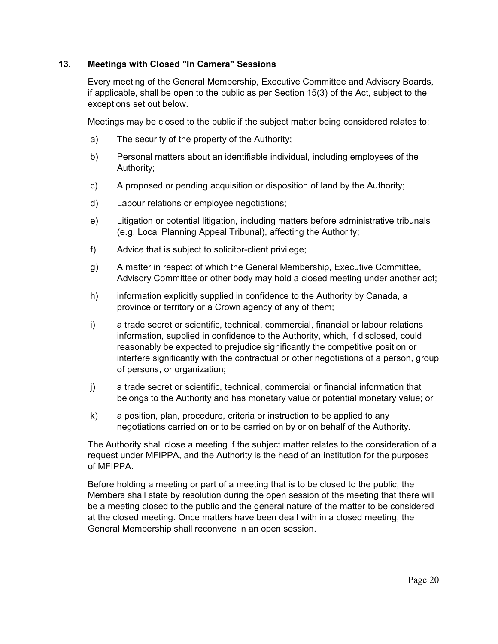# **13. Meetings with Closed "In Camera" Sessions**

Every meeting of the General Membership, Executive Committee and Advisory Boards, if applicable, shall be open to the public as per Section 15(3) of the Act, subject to the exceptions set out below.

Meetings may be closed to the public if the subject matter being considered relates to:

- a) The security of the property of the Authority;
- b) Personal matters about an identifiable individual, including employees of the Authority;
- c) A proposed or pending acquisition or disposition of land by the Authority;
- d) Labour relations or employee negotiations;
- e) Litigation or potential litigation, including matters before administrative tribunals (e.g. Local Planning Appeal Tribunal), affecting the Authority;
- f) Advice that is subject to solicitor-client privilege;
- g) A matter in respect of which the General Membership, Executive Committee, Advisory Committee or other body may hold a closed meeting under another act;
- h) information explicitly supplied in confidence to the Authority by Canada, a province or territory or a Crown agency of any of them;
- i) a trade secret or scientific, technical, commercial, financial or labour relations information, supplied in confidence to the Authority, which, if disclosed, could reasonably be expected to prejudice significantly the competitive position or interfere significantly with the contractual or other negotiations of a person, group of persons, or organization;
- j) a trade secret or scientific, technical, commercial or financial information that belongs to the Authority and has monetary value or potential monetary value; or
- k) a position, plan, procedure, criteria or instruction to be applied to any negotiations carried on or to be carried on by or on behalf of the Authority.

The Authority shall close a meeting if the subject matter relates to the consideration of a request under MFIPPA, and the Authority is the head of an institution for the purposes of MFIPPA.

Before holding a meeting or part of a meeting that is to be closed to the public, the Members shall state by resolution during the open session of the meeting that there will be a meeting closed to the public and the general nature of the matter to be considered at the closed meeting. Once matters have been dealt with in a closed meeting, the General Membership shall reconvene in an open session.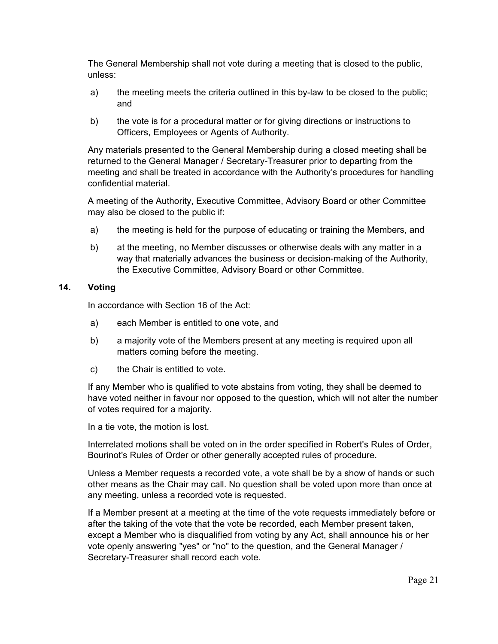The General Membership shall not vote during a meeting that is closed to the public, unless:

- a) the meeting meets the criteria outlined in this by-law to be closed to the public; and
- b) the vote is for a procedural matter or for giving directions or instructions to Officers, Employees or Agents of Authority.

Any materials presented to the General Membership during a closed meeting shall be returned to the General Manager / Secretary-Treasurer prior to departing from the meeting and shall be treated in accordance with the Authority's procedures for handling confidential material.

A meeting of the Authority, Executive Committee, Advisory Board or other Committee may also be closed to the public if:

- a) the meeting is held for the purpose of educating or training the Members, and
- b) at the meeting, no Member discusses or otherwise deals with any matter in a way that materially advances the business or decision-making of the Authority, the Executive Committee, Advisory Board or other Committee.

# **14. Voting**

In accordance with Section 16 of the Act:

- a) each Member is entitled to one vote, and
- b) a majority vote of the Members present at any meeting is required upon all matters coming before the meeting.
- c) the Chair is entitled to vote.

If any Member who is qualified to vote abstains from voting, they shall be deemed to have voted neither in favour nor opposed to the question, which will not alter the number of votes required for a majority.

In a tie vote, the motion is lost.

Interrelated motions shall be voted on in the order specified in Robert's Rules of Order, Bourinot's Rules of Order or other generally accepted rules of procedure.

Unless a Member requests a recorded vote, a vote shall be by a show of hands or such other means as the Chair may call. No question shall be voted upon more than once at any meeting, unless a recorded vote is requested.

If a Member present at a meeting at the time of the vote requests immediately before or after the taking of the vote that the vote be recorded, each Member present taken, except a Member who is disqualified from voting by any Act, shall announce his or her vote openly answering "yes" or "no" to the question, and the General Manager / Secretary-Treasurer shall record each vote.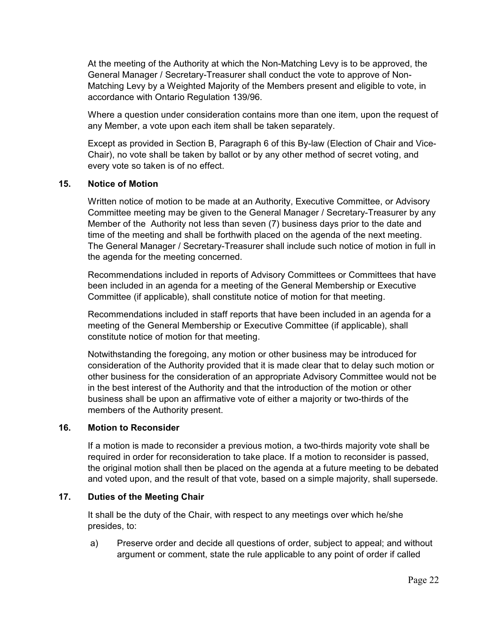At the meeting of the Authority at which the Non-Matching Levy is to be approved, the General Manager / Secretary-Treasurer shall conduct the vote to approve of Non-Matching Levy by a Weighted Majority of the Members present and eligible to vote, in accordance with Ontario Regulation 139/96.

Where a question under consideration contains more than one item, upon the request of any Member, a vote upon each item shall be taken separately.

Except as provided in Section B, Paragraph 6 of this By-law (Election of Chair and Vice-Chair), no vote shall be taken by ballot or by any other method of secret voting, and every vote so taken is of no effect.

#### **15. Notice of Motion**

Written notice of motion to be made at an Authority, Executive Committee, or Advisory Committee meeting may be given to the General Manager / Secretary-Treasurer by any Member of the Authority not less than seven (7) business days prior to the date and time of the meeting and shall be forthwith placed on the agenda of the next meeting. The General Manager / Secretary-Treasurer shall include such notice of motion in full in the agenda for the meeting concerned.

Recommendations included in reports of Advisory Committees or Committees that have been included in an agenda for a meeting of the General Membership or Executive Committee (if applicable), shall constitute notice of motion for that meeting.

Recommendations included in staff reports that have been included in an agenda for a meeting of the General Membership or Executive Committee (if applicable), shall constitute notice of motion for that meeting.

Notwithstanding the foregoing, any motion or other business may be introduced for consideration of the Authority provided that it is made clear that to delay such motion or other business for the consideration of an appropriate Advisory Committee would not be in the best interest of the Authority and that the introduction of the motion or other business shall be upon an affirmative vote of either a majority or two-thirds of the members of the Authority present.

# **16. Motion to Reconsider**

If a motion is made to reconsider a previous motion, a two-thirds majority vote shall be required in order for reconsideration to take place. If a motion to reconsider is passed, the original motion shall then be placed on the agenda at a future meeting to be debated and voted upon, and the result of that vote, based on a simple majority, shall supersede.

# **17. Duties of the Meeting Chair**

It shall be the duty of the Chair, with respect to any meetings over which he/she presides, to:

 a) Preserve order and decide all questions of order, subject to appeal; and without argument or comment, state the rule applicable to any point of order if called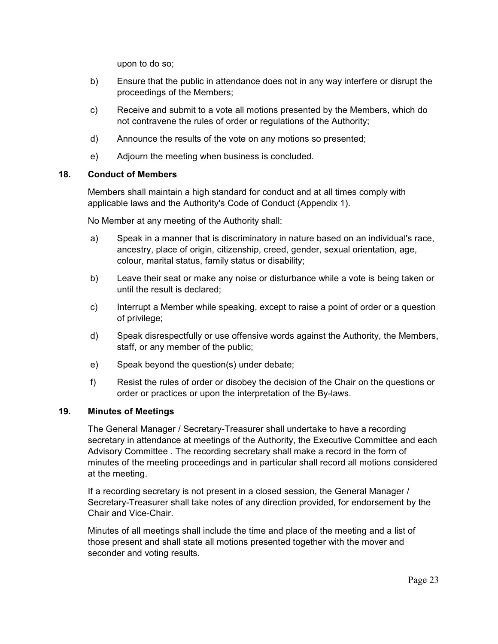upon to do so;

- b) Ensure that the public in attendance does not in any way interfere or disrupt the proceedings of the Members;
- c) Receive and submit to a vote all motions presented by the Members, which do not contravene the rules of order or regulations of the Authority;
- d) Announce the results of the vote on any motions so presented;
- e) Adjourn the meeting when business is concluded.

# **18. Conduct of Members**

Members shall maintain a high standard for conduct and at all times comply with applicable laws and the Authority's Code of Conduct (Appendix 1).

No Member at any meeting of the Authority shall:

- a) Speak in a manner that is discriminatory in nature based on an individual's race, ancestry, place of origin, citizenship, creed, gender, sexual orientation, age, colour, marital status, family status or disability;
- b) Leave their seat or make any noise or disturbance while a vote is being taken or until the result is declared;
- c) Interrupt a Member while speaking, except to raise a point of order or a question of privilege;
- d) Speak disrespectfully or use offensive words against the Authority, the Members, staff, or any member of the public;
- e) Speak beyond the question(s) under debate;
- f) Resist the rules of order or disobey the decision of the Chair on the questions or order or practices or upon the interpretation of the By-laws.

# **19. Minutes of Meetings**

The General Manager / Secretary-Treasurer shall undertake to have a recording secretary in attendance at meetings of the Authority, the Executive Committee and each Advisory Committee . The recording secretary shall make a record in the form of minutes of the meeting proceedings and in particular shall record all motions considered at the meeting.

If a recording secretary is not present in a closed session, the General Manager / Secretary-Treasurer shall take notes of any direction provided, for endorsement by the Chair and Vice-Chair.

Minutes of all meetings shall include the time and place of the meeting and a list of those present and shall state all motions presented together with the mover and seconder and voting results.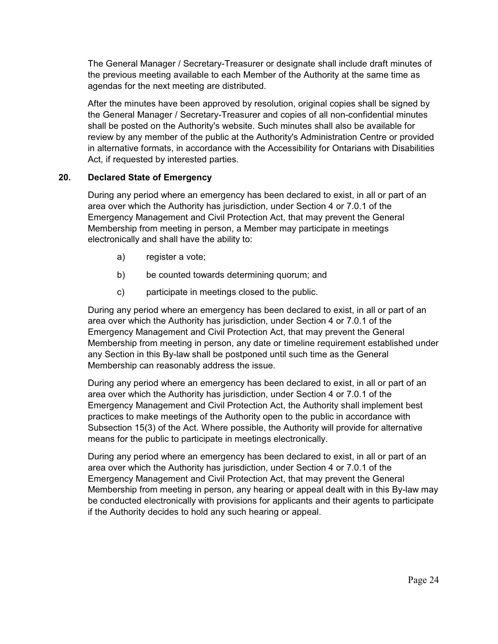The General Manager / Secretary-Treasurer or designate shall include draft minutes of the previous meeting available to each Member of the Authority at the same time as agendas for the next meeting are distributed.

After the minutes have been approved by resolution, original copies shall be signed by the General Manager / Secretary-Treasurer and copies of all non-confidential minutes shall be posted on the Authority's website. Such minutes shall also be available for review by any member of the public at the Authority's Administration Centre or provided in alternative formats, in accordance with the Accessibility for Ontarians with Disabilities Act, if requested by interested parties.

# **20. Declared State of Emergency**

During any period where an emergency has been declared to exist, in all or part of an area over which the Authority has jurisdiction, under Section 4 or 7.0.1 of the Emergency Management and Civil Protection Act, that may prevent the General Membership from meeting in person, a Member may participate in meetings electronically and shall have the ability to:

- a) register a vote;
- b) be counted towards determining quorum; and
- c) participate in meetings closed to the public.

During any period where an emergency has been declared to exist, in all or part of an area over which the Authority has jurisdiction, under Section 4 or 7.0.1 of the Emergency Management and Civil Protection Act, that may prevent the General Membership from meeting in person, any date or timeline requirement established under any Section in this By-law shall be postponed until such time as the General Membership can reasonably address the issue.

During any period where an emergency has been declared to exist, in all or part of an area over which the Authority has jurisdiction, under Section 4 or 7.0.1 of the Emergency Management and Civil Protection Act, the Authority shall implement best practices to make meetings of the Authority open to the public in accordance with Subsection 15(3) of the Act. Where possible, the Authority will provide for alternative means for the public to participate in meetings electronically.

During any period where an emergency has been declared to exist, in all or part of an area over which the Authority has jurisdiction, under Section 4 or 7.0.1 of the Emergency Management and Civil Protection Act, that may prevent the General Membership from meeting in person, any hearing or appeal dealt with in this By-law may be conducted electronically with provisions for applicants and their agents to participate if the Authority decides to hold any such hearing or appeal.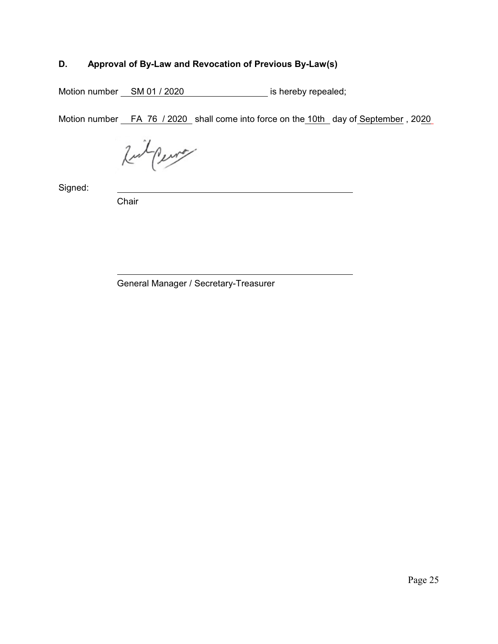# **D. Approval of By-Law and Revocation of Previous By-Law(s)**

Motion number SM 01 / 2020 is hereby repealed;

Motion number FA 76 / 2020 shall come into force on the 10th day of September, 2020

Ruil Perry

Signed:

Chair

General Manager / Secretary-Treasurer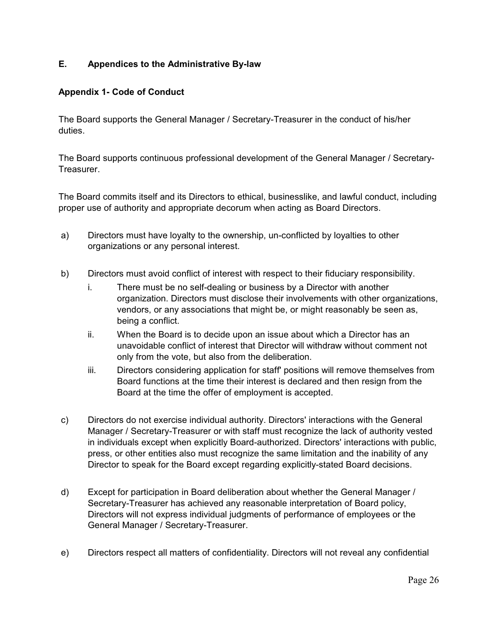# **E. Appendices to the Administrative By-law**

# **Appendix 1- Code of Conduct**

The Board supports the General Manager / Secretary-Treasurer in the conduct of his/her duties.

The Board supports continuous professional development of the General Manager / Secretary-Treasurer.

The Board commits itself and its Directors to ethical, businesslike, and lawful conduct, including proper use of authority and appropriate decorum when acting as Board Directors.

- a) Directors must have loyalty to the ownership, un-conflicted by loyalties to other organizations or any personal interest.
- b) Directors must avoid conflict of interest with respect to their fiduciary responsibility.
	- i. There must be no self-dealing or business by a Director with another organization. Directors must disclose their involvements with other organizations, vendors, or any associations that might be, or might reasonably be seen as, being a conflict.
	- ii. When the Board is to decide upon an issue about which a Director has an unavoidable conflict of interest that Director will withdraw without comment not only from the vote, but also from the deliberation.
	- iii. Directors considering application for staff' positions will remove themselves from Board functions at the time their interest is declared and then resign from the Board at the time the offer of employment is accepted.
- c) Directors do not exercise individual authority. Directors' interactions with the General Manager / Secretary-Treasurer or with staff must recognize the lack of authority vested in individuals except when explicitly Board-authorized. Directors' interactions with public, press, or other entities also must recognize the same limitation and the inability of any Director to speak for the Board except regarding explicitly-stated Board decisions.
- d) Except for participation in Board deliberation about whether the General Manager / Secretary-Treasurer has achieved any reasonable interpretation of Board policy, Directors will not express individual judgments of performance of employees or the General Manager / Secretary-Treasurer.
- e) Directors respect all matters of confidentiality. Directors will not reveal any confidential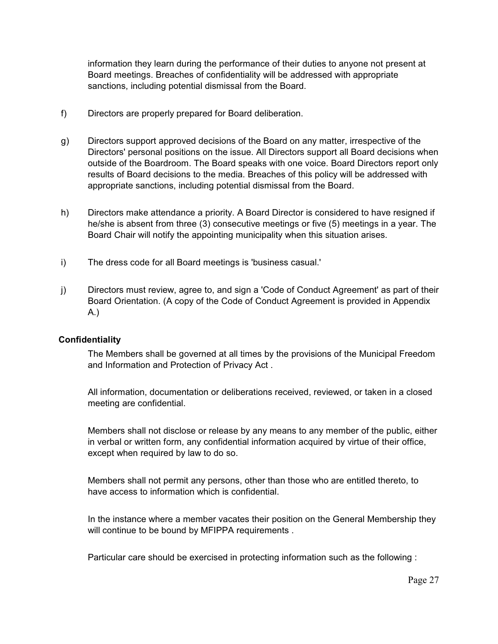information they learn during the performance of their duties to anyone not present at Board meetings. Breaches of confidentiality will be addressed with appropriate sanctions, including potential dismissal from the Board.

- f) Directors are properly prepared for Board deliberation.
- g) Directors support approved decisions of the Board on any matter, irrespective of the Directors' personal positions on the issue. All Directors support all Board decisions when outside of the Boardroom. The Board speaks with one voice. Board Directors report only results of Board decisions to the media. Breaches of this policy will be addressed with appropriate sanctions, including potential dismissal from the Board.
- h) Directors make attendance a priority. A Board Director is considered to have resigned if he/she is absent from three (3) consecutive meetings or five (5) meetings in a year. The Board Chair will notify the appointing municipality when this situation arises.
- i) The dress code for all Board meetings is 'business casual.'
- j) Directors must review, agree to, and sign a 'Code of Conduct Agreement' as part of their Board Orientation. (A copy of the Code of Conduct Agreement is provided in Appendix A.)

# **Confidentiality**

The Members shall be governed at all times by the provisions of the Municipal Freedom and Information and Protection of Privacy Act .

All information, documentation or deliberations received, reviewed, or taken in a closed meeting are confidential.

Members shall not disclose or release by any means to any member of the public, either in verbal or written form, any confidential information acquired by virtue of their office, except when required by law to do so.

Members shall not permit any persons, other than those who are entitled thereto, to have access to information which is confidential.

In the instance where a member vacates their position on the General Membership they will continue to be bound by MFIPPA requirements .

Particular care should be exercised in protecting information such as the following :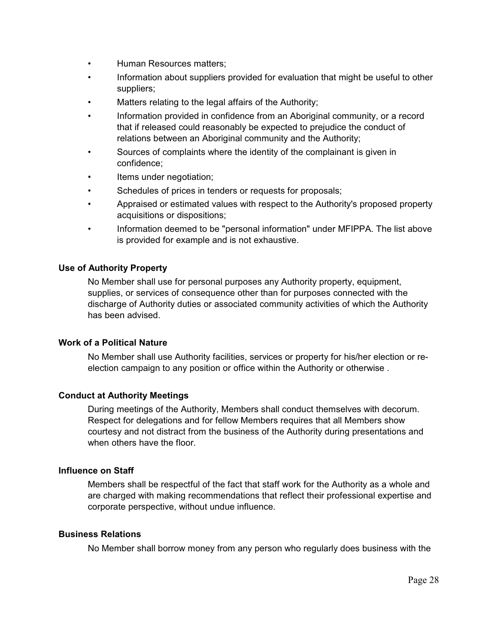- Human Resources matters;
- Information about suppliers provided for evaluation that might be useful to other suppliers;
- Matters relating to the legal affairs of the Authority;
- Information provided in confidence from an Aboriginal community, or a record that if released could reasonably be expected to prejudice the conduct of relations between an Aboriginal community and the Authority;
- Sources of complaints where the identity of the complainant is given in confidence;
- Items under negotiation;
- Schedules of prices in tenders or requests for proposals;
- Appraised or estimated values with respect to the Authority's proposed property acquisitions or dispositions;
- Information deemed to be "personal information" under MFIPPA. The list above is provided for example and is not exhaustive.

#### **Use of Authority Property**

No Member shall use for personal purposes any Authority property, equipment, supplies, or services of consequence other than for purposes connected with the discharge of Authority duties or associated community activities of which the Authority has been advised.

#### **Work of a Political Nature**

No Member shall use Authority facilities, services or property for his/her election or reelection campaign to any position or office within the Authority or otherwise .

#### **Conduct at Authority Meetings**

During meetings of the Authority, Members shall conduct themselves with decorum. Respect for delegations and for fellow Members requires that all Members show courtesy and not distract from the business of the Authority during presentations and when others have the floor.

#### **Influence on Staff**

Members shall be respectful of the fact that staff work for the Authority as a whole and are charged with making recommendations that reflect their professional expertise and corporate perspective, without undue influence.

#### **Business Relations**

No Member shall borrow money from any person who regularly does business with the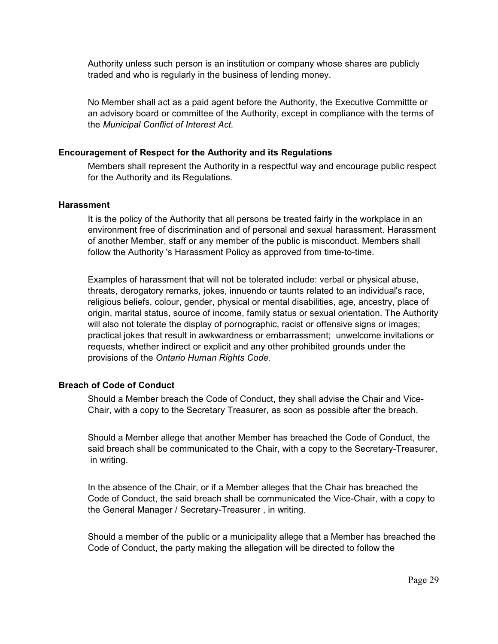Authority unless such person is an institution or company whose shares are publicly traded and who is regularly in the business of lending money.

No Member shall act as a paid agent before the Authority, the Executive Committte or an advisory board or committee of the Authority, except in compliance with the terms of the *Municipal Conflict of Interest Act.*

#### **Encouragement of Respect for the Authority and its Regulations**

Members shall represent the Authority in a respectful way and encourage public respect for the Authority and its Regulations.

#### **Harassment**

It is the policy of the Authority that all persons be treated fairly in the workplace in an environment free of discrimination and of personal and sexual harassment. Harassment of another Member, staff or any member of the public is misconduct. Members shall follow the Authority 's Harassment Policy as approved from time-to-time.

Examples of harassment that will not be tolerated include: verbal or physical abuse, threats, derogatory remarks, jokes, innuendo or taunts related to an individual's race, religious beliefs, colour, gender, physical or mental disabilities, age, ancestry, place of origin, marital status, source of income, family status or sexual orientation. The Authority will also not tolerate the display of pornographic, racist or offensive signs or images; practical jokes that result in awkwardness or embarrassment; unwelcome invitations or requests, whether indirect or explicit and any other prohibited grounds under the provisions of the *Ontario Human Rights Code.*

#### **Breach of Code of Conduct**

Should a Member breach the Code of Conduct, they shall advise the Chair and Vice-Chair, with a copy to the Secretary Treasurer, as soon as possible after the breach.

Should a Member allege that another Member has breached the Code of Conduct, the said breach shall be communicated to the Chair, with a copy to the Secretary-Treasurer, in writing.

In the absence of the Chair, or if a Member alleges that the Chair has breached the Code of Conduct, the said breach shall be communicated the Vice-Chair, with a copy to the General Manager / Secretary-Treasurer , in writing.

Should a member of the public or a municipality allege that a Member has breached the Code of Conduct, the party making the allegation will be directed to follow the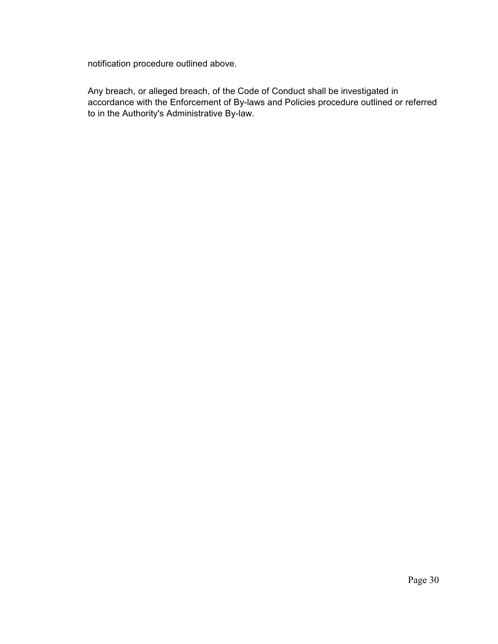notification procedure outlined above.

Any breach, or alleged breach, of the Code of Conduct shall be investigated in accordance with the Enforcement of By-laws and Policies procedure outlined or referred to in the Authority's Administrative By-law.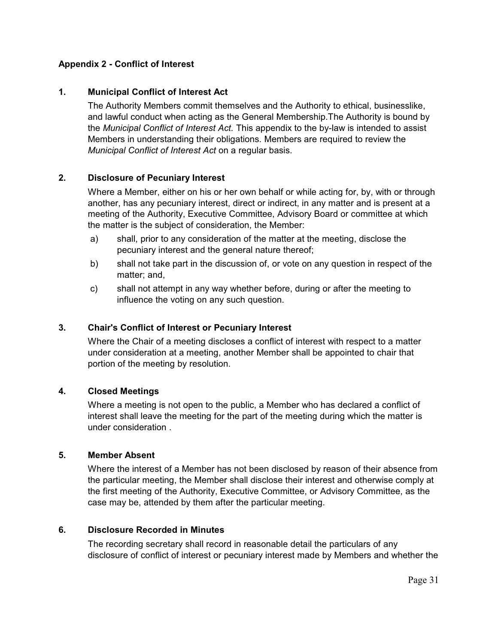# **Appendix 2 - Conflict of Interest**

# **1. Municipal Conflict of Interest Act**

The Authority Members commit themselves and the Authority to ethical, businesslike, and lawful conduct when acting as the General Membership.The Authority is bound by the *Municipal Conflict of Interest Act.* This appendix to the by-law is intended to assist Members in understanding their obligations. Members are required to review the *Municipal Conflict of Interest Act* on a regular basis.

#### **2. Disclosure of Pecuniary Interest**

Where a Member, either on his or her own behalf or while acting for, by, with or through another, has any pecuniary interest, direct or indirect, in any matter and is present at a meeting of the Authority, Executive Committee, Advisory Board or committee at which the matter is the subject of consideration, the Member:

- a) shall, prior to any consideration of the matter at the meeting, disclose the pecuniary interest and the general nature thereof;
- b) shall not take part in the discussion of, or vote on any question in respect of the matter; and,
- c) shall not attempt in any way whether before, during or after the meeting to influence the voting on any such question.

# **3. Chair's Conflict of Interest or Pecuniary Interest**

Where the Chair of a meeting discloses a conflict of interest with respect to a matter under consideration at a meeting, another Member shall be appointed to chair that portion of the meeting by resolution.

#### **4. Closed Meetings**

Where a meeting is not open to the public, a Member who has declared a conflict of interest shall leave the meeting for the part of the meeting during which the matter is under consideration .

#### **5. Member Absent**

Where the interest of a Member has not been disclosed by reason of their absence from the particular meeting, the Member shall disclose their interest and otherwise comply at the first meeting of the Authority, Executive Committee, or Advisory Committee, as the case may be, attended by them after the particular meeting.

#### **6. Disclosure Recorded in Minutes**

The recording secretary shall record in reasonable detail the particulars of any disclosure of conflict of interest or pecuniary interest made by Members and whether the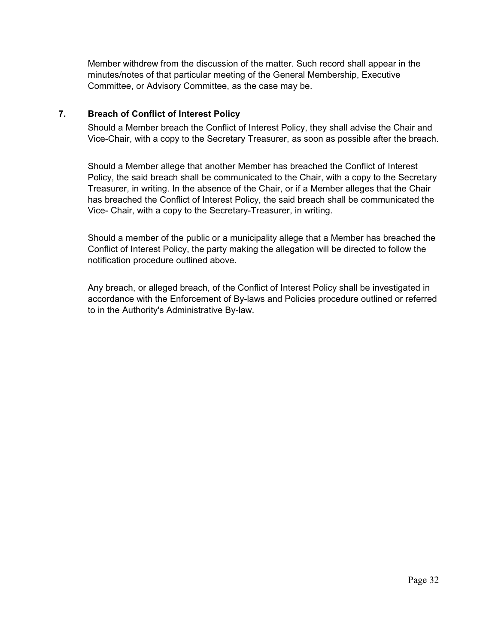Member withdrew from the discussion of the matter. Such record shall appear in the minutes/notes of that particular meeting of the General Membership, Executive Committee, or Advisory Committee, as the case may be.

# **7. Breach of Conflict of Interest Policy**

Should a Member breach the Conflict of Interest Policy, they shall advise the Chair and Vice-Chair, with a copy to the Secretary Treasurer, as soon as possible after the breach.

Should a Member allege that another Member has breached the Conflict of Interest Policy, the said breach shall be communicated to the Chair, with a copy to the Secretary Treasurer, in writing. In the absence of the Chair, or if a Member alleges that the Chair has breached the Conflict of Interest Policy, the said breach shall be communicated the Vice- Chair, with a copy to the Secretary-Treasurer, in writing.

Should a member of the public or a municipality allege that a Member has breached the Conflict of Interest Policy, the party making the allegation will be directed to follow the notification procedure outlined above.

Any breach, or alleged breach, of the Conflict of Interest Policy shall be investigated in accordance with the Enforcement of By-laws and Policies procedure outlined or referred to in the Authority's Administrative By-law.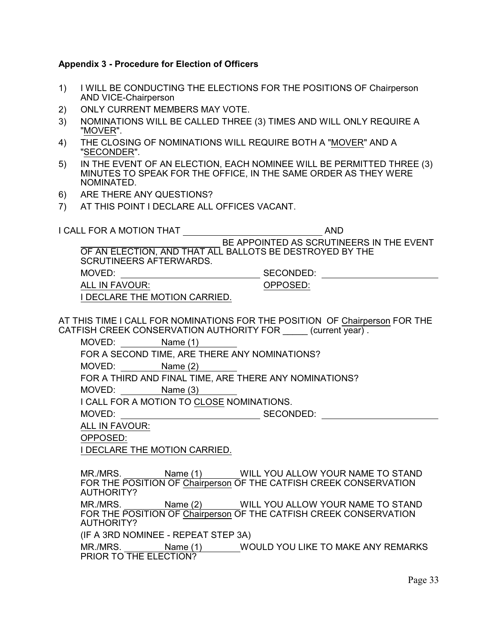#### **Appendix 3 - Procedure for Election of Officers**

- 1) I WILL BE CONDUCTING THE ELECTIONS FOR THE POSITIONS OF Chairperson AND VICE-Chairperson
- 2) ONLY CURRENT MEMBERS MAY VOTE.
- 3) NOMINATIONS WILL BE CALLED THREE (3) TIMES AND WILL ONLY REQUIRE A "MOVER".
- 4) THE CLOSING OF NOMINATIONS WILL REQUIRE BOTH A "MOVER" AND A "SECONDER".
- 5) IN THE EVENT OF AN ELECTION, EACH NOMINEE WILL BE PERMITTED THREE (3) MINUTES TO SPEAK FOR THE OFFICE, IN THE SAME ORDER AS THEY WERE NOMINATED.
- 6) ARE THERE ANY QUESTIONS?
- 7) AT THIS POINT I DECLARE ALL OFFICES VACANT.

I CALL FOR A MOTION THAT AND

 BE APPOINTED AS SCRUTINEERS IN THE EVENT OF AN ELECTION, AND THAT ALL BALLOTS BE DESTROYED BY THE SCRUTINEERS AFTERWARDS. MOVED: SECONDED: ALL IN FAVOUR: OPPOSED:

I DECLARE THE MOTION CARRIED.

AT THIS TIME I CALL FOR NOMINATIONS FOR THE POSITION OF Chairperson FOR THE CATFISH CREEK CONSERVATION AUTHORITY FOR (current year).

MOVED: Name (1)

FOR A SECOND TIME, ARE THERE ANY NOMINATIONS?

MOVED: Name (2)

FOR A THIRD AND FINAL TIME, ARE THERE ANY NOMINATIONS?

MOVED: Name (3)

I CALL FOR A MOTION TO CLOSE NOMINATIONS.

MOVED: SECONDED: SECONDED:

ALL IN FAVOUR:

OPPOSED:

I DECLARE THE MOTION CARRIED.

MR./MRS. Name (1) WILL YOU ALLOW YOUR NAME TO STAND FOR THE POSITION OF Chairperson OF THE CATFISH CREEK CONSERVATION AUTHORITY?

MR./MRS. Name (2) WILL YOU ALLOW YOUR NAME TO STAND FOR THE POSITION OF Chairperson OF THE CATFISH CREEK CONSERVATION AUTHORITY?

(IF A 3RD NOMINEE - REPEAT STEP 3A)

MR./MRS. Name (1) WOULD YOU LIKE TO MAKE ANY REMARKS PRIOR TO THE ELECTION?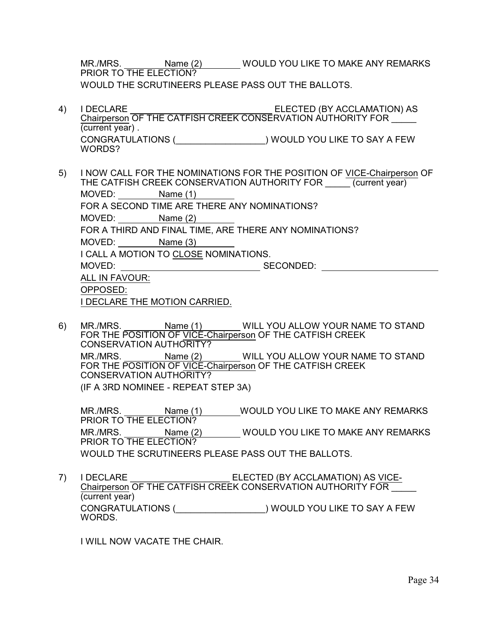MR./MRS. Name (2) WOULD YOU LIKE TO MAKE ANY REMARKS PRIOR TO THE ELECTION? WOULD THE SCRUTINEERS PLEASE PASS OUT THE BALLOTS.

- 4) I DECLARE ELECTED (BY ACCLAMATION) AS Chairperson OF THE CATFISH CREEK CONSERVATION AUTHORITY FOR (current year) . CONGRATULATIONS (\_\_\_\_\_\_\_\_\_\_\_\_\_\_\_\_\_\_) WOULD YOU LIKE TO SAY A FEW WORDS?
- 5) I NOW CALL FOR THE NOMINATIONS FOR THE POSITION OF VICE-Chairperson OF THE CATFISH CREEK CONSERVATION AUTHORITY FOR \_\_\_\_\_ (current year) MOVED: Name (1) FOR A SECOND TIME ARE THERE ANY NOMINATIONS? MOVED: Name (2) FOR A THIRD AND FINAL TIME, ARE THERE ANY NOMINATIONS? MOVED: Name (3) I CALL A MOTION TO CLOSE NOMINATIONS. MOVED: SECONDED: SECONDED: ALL IN FAVOUR: OPPOSED: I DECLARE THE MOTION CARRIED.
- 6) MR./MRS. Name (1) WILL YOU ALLOW YOUR NAME TO STAND FOR THE POSITION OF VICE-Chairperson OF THE CATFISH CREEK CONSERVATION AUTHORITY? MR./MRS. Name (2) MILL YOU ALLOW YOUR NAME TO STAND FOR THE POSITION OF VICE-Chairperson OF THE CATFISH CREEK CONSERVATION AUTHORITY? (IF A 3RD NOMINEE - REPEAT STEP 3A)

MR./MRS. Name (1) WOULD YOU LIKE TO MAKE ANY REMARKS PRIOR TO THE ELECTION? MR./MRS. Name (2) WOULD YOU LIKE TO MAKE ANY REMARKS PRIOR TO THE ELECTION? WOULD THE SCRUTINEERS PLEASE PASS OUT THE BALLOTS.

7) I DECLARE **ELECTED** (BY ACCLAMATION) AS VICE-Chairperson OF THE CATFISH CREEK CONSERVATION AUTHORITY FOR \_\_\_\_\_ (current year) CONGRATULATIONS (\_\_\_\_\_\_\_\_\_\_\_\_\_\_\_\_\_\_) WOULD YOU LIKE TO SAY A FEW WORDS.

I WILL NOW VACATE THE CHAIR.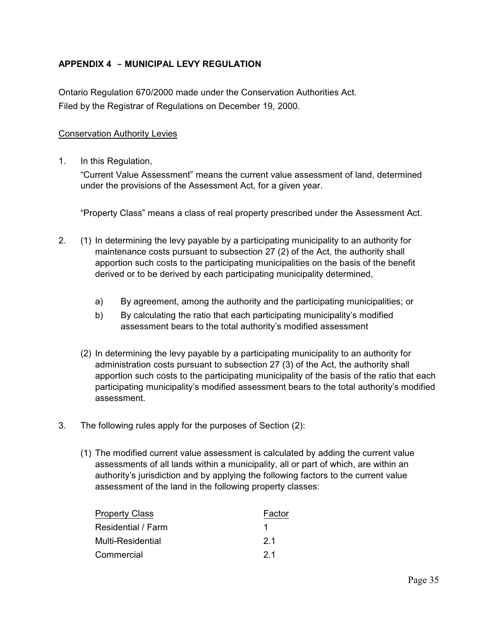# **APPENDIX 4 - MUNICIPAL LEVY REGULATION**

Ontario Regulation 670/2000 made under the Conservation Authorities Act. Filed by the Registrar of Regulations on December 19, 2000.

#### Conservation Authority Levies

1. In this Regulation,

"Current Value Assessment" means the current value assessment of land, determined under the provisions of the Assessment Act, for a given year.

"Property Class" means a class of real property prescribed under the Assessment Act.

- 2. (1) In determining the levy payable by a participating municipality to an authority for maintenance costs pursuant to subsection 27 (2) of the Act, the authority shall apportion such costs to the participating municipalities on the basis of the benefit derived or to be derived by each participating municipality determined,
	- a) By agreement, among the authority and the participating municipalities; or
	- b) By calculating the ratio that each participating municipality's modified assessment bears to the total authority's modified assessment
	- (2) In determining the levy payable by a participating municipality to an authority for administration costs pursuant to subsection 27 (3) of the Act, the authority shall apportion such costs to the participating municipality of the basis of the ratio that each participating municipality's modified assessment bears to the total authority's modified assessment.
- 3. The following rules apply for the purposes of Section (2):
	- (1) The modified current value assessment is calculated by adding the current value assessments of all lands within a municipality, all or part of which, are within an authority's jurisdiction and by applying the following factors to the current value assessment of the land in the following property classes:

| <b>Property Class</b> | Factor |
|-----------------------|--------|
| Residential / Farm    |        |
| Multi-Residential     | 21     |
| Commercial            | -21    |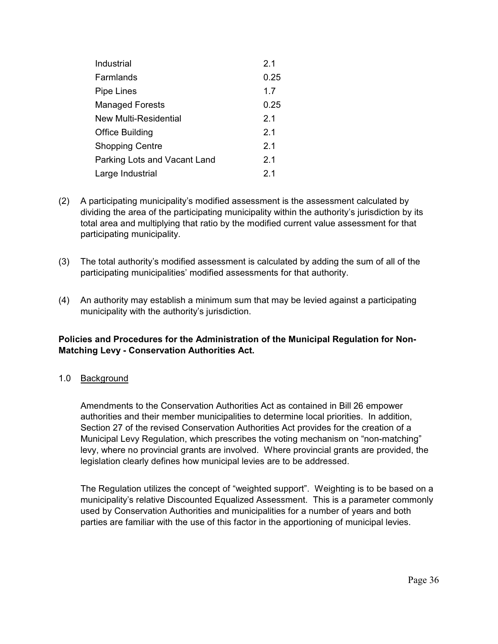| Industrial                   | 2.1  |
|------------------------------|------|
| Farmlands                    | 0.25 |
| <b>Pipe Lines</b>            | 1.7  |
| <b>Managed Forests</b>       | 0.25 |
| <b>New Multi-Residential</b> | 2.1  |
| Office Building              | 2.1  |
| <b>Shopping Centre</b>       | 2.1  |
| Parking Lots and Vacant Land | 2.1  |
| Large Industrial             | 2.1  |

- (2) A participating municipality's modified assessment is the assessment calculated by dividing the area of the participating municipality within the authority's jurisdiction by its total area and multiplying that ratio by the modified current value assessment for that participating municipality.
- (3) The total authority's modified assessment is calculated by adding the sum of all of the participating municipalities' modified assessments for that authority.
- (4) An authority may establish a minimum sum that may be levied against a participating municipality with the authority's jurisdiction.

# **Policies and Procedures for the Administration of the Municipal Regulation for Non-Matching Levy - Conservation Authorities Act.**

# 1.0 Background

Amendments to the Conservation Authorities Act as contained in Bill 26 empower authorities and their member municipalities to determine local priorities. In addition, Section 27 of the revised Conservation Authorities Act provides for the creation of a Municipal Levy Regulation, which prescribes the voting mechanism on "non-matching" levy, where no provincial grants are involved. Where provincial grants are provided, the legislation clearly defines how municipal levies are to be addressed.

The Regulation utilizes the concept of "weighted support". Weighting is to be based on a municipality's relative Discounted Equalized Assessment. This is a parameter commonly used by Conservation Authorities and municipalities for a number of years and both parties are familiar with the use of this factor in the apportioning of municipal levies.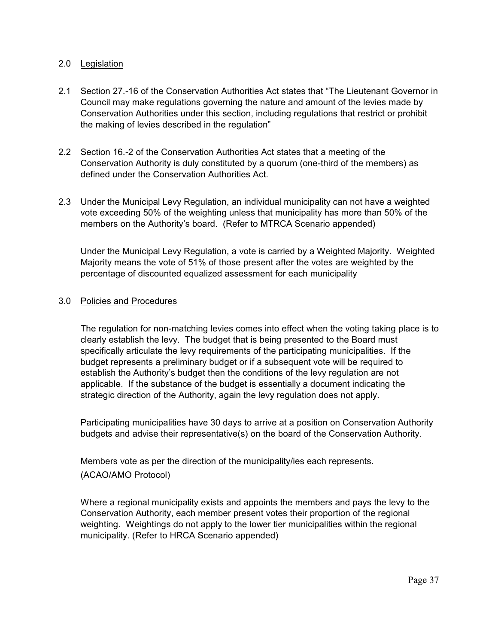#### 2.0 Legislation

- 2.1 Section 27.-16 of the Conservation Authorities Act states that "The Lieutenant Governor in Council may make regulations governing the nature and amount of the levies made by Conservation Authorities under this section, including regulations that restrict or prohibit the making of levies described in the regulation"
- 2.2 Section 16.-2 of the Conservation Authorities Act states that a meeting of the Conservation Authority is duly constituted by a quorum (one-third of the members) as defined under the Conservation Authorities Act.
- 2.3 Under the Municipal Levy Regulation, an individual municipality can not have a weighted vote exceeding 50% of the weighting unless that municipality has more than 50% of the members on the Authority's board. (Refer to MTRCA Scenario appended)

Under the Municipal Levy Regulation, a vote is carried by a Weighted Majority. Weighted Majority means the vote of 51% of those present after the votes are weighted by the percentage of discounted equalized assessment for each municipality

# 3.0 Policies and Procedures

The regulation for non-matching levies comes into effect when the voting taking place is to clearly establish the levy. The budget that is being presented to the Board must specifically articulate the levy requirements of the participating municipalities. If the budget represents a preliminary budget or if a subsequent vote will be required to establish the Authority's budget then the conditions of the levy regulation are not applicable. If the substance of the budget is essentially a document indicating the strategic direction of the Authority, again the levy regulation does not apply.

Participating municipalities have 30 days to arrive at a position on Conservation Authority budgets and advise their representative(s) on the board of the Conservation Authority.

Members vote as per the direction of the municipality/ies each represents. (ACAO/AMO Protocol)

Where a regional municipality exists and appoints the members and pays the levy to the Conservation Authority, each member present votes their proportion of the regional weighting. Weightings do not apply to the lower tier municipalities within the regional municipality. (Refer to HRCA Scenario appended)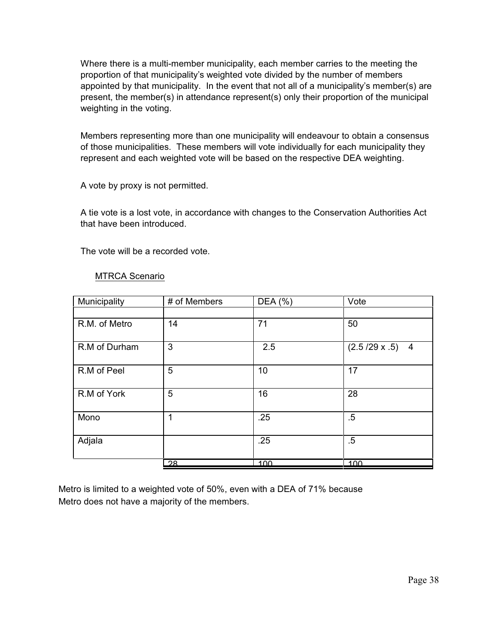Where there is a multi-member municipality, each member carries to the meeting the proportion of that municipality's weighted vote divided by the number of members appointed by that municipality. In the event that not all of a municipality's member(s) are present, the member(s) in attendance represent(s) only their proportion of the municipal weighting in the voting.

Members representing more than one municipality will endeavour to obtain a consensus of those municipalities. These members will vote individually for each municipality they represent and each weighted vote will be based on the respective DEA weighting.

A vote by proxy is not permitted.

A tie vote is a lost vote, in accordance with changes to the Conservation Authorities Act that have been introduced.

The vote will be a recorded vote.

# MTRCA Scenario

| Municipality  | # of Members | DEA (%) | Vote                                   |
|---------------|--------------|---------|----------------------------------------|
|               |              |         |                                        |
| R.M. of Metro | 14           | 71      | 50                                     |
| R.M of Durham | 3            | 2.5     | $(2.5/29 \times .5)$<br>$\overline{4}$ |
| R.M of Peel   | 5            | 10      | 17                                     |
| R.M of York   | 5            | 16      | 28                                     |
| Mono          | 1            | .25     | $.5\,$                                 |
| Adjala        |              | .25     | $.5\,$                                 |
|               | 28           | 100     | 100                                    |

Metro is limited to a weighted vote of 50%, even with a DEA of 71% because Metro does not have a majority of the members.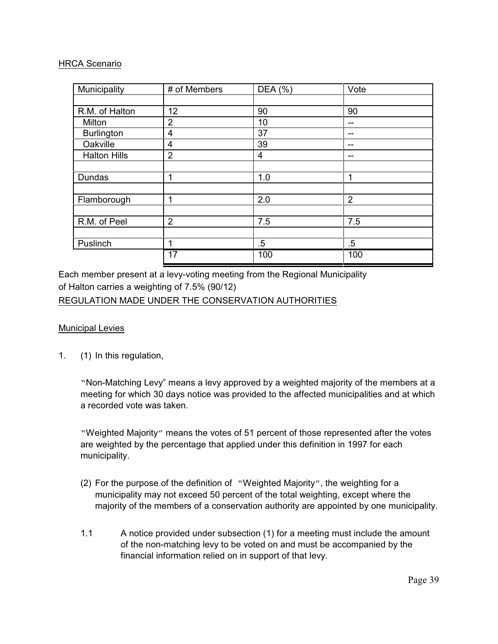#### HRCA Scenario

| Municipality        | # of Members    | DEA (%) | Vote           |
|---------------------|-----------------|---------|----------------|
|                     |                 |         |                |
| R.M. of Halton      | 12              | 90      | 90             |
| Milton              | 2               | 10      | --             |
| <b>Burlington</b>   | 4               | 37      | --             |
| Oakville            | 4               | 39      |                |
| <b>Halton Hills</b> | $\overline{2}$  | 4       | --             |
|                     |                 |         |                |
| Dundas              | 1               | 1.0     | 1              |
|                     |                 |         |                |
| Flamborough         | 1               | 2.0     | $\overline{2}$ |
|                     |                 |         |                |
| R.M. of Peel        | $\overline{2}$  | 7.5     | 7.5            |
|                     |                 |         |                |
| Puslinch            | 1               | $.5\,$  | $.5\,$         |
|                     | $\overline{17}$ | 100     | 100            |

Each member present at a levy-voting meeting from the Regional Municipality of Halton carries a weighting of 7.5% (90/12) REGULATION MADE UNDER THE CONSERVATION AUTHORITIES

# Municipal Levies

1. (1) In this regulation,

"Non-Matching Levy" means a levy approved by a weighted majority of the members at a meeting for which 30 days notice was provided to the affected municipalities and at which a recorded vote was taken.

"Weighted Majority" means the votes of 51 percent of those represented after the votes are weighted by the percentage that applied under this definition in 1997 for each municipality.

- (2) For the purpose of the definition of "Weighted Majority", the weighting for a municipality may not exceed 50 percent of the total weighting, except where the majority of the members of a conservation authority are appointed by one municipality.
- 1.1 A notice provided under subsection (1) for a meeting must include the amount of the non-matching levy to be voted on and must be accompanied by the financial information relied on in support of that levy.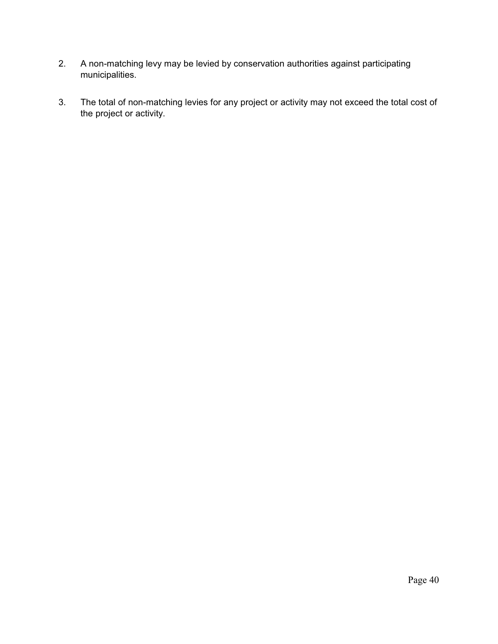- 2. A non-matching levy may be levied by conservation authorities against participating municipalities.
- 3. The total of non-matching levies for any project or activity may not exceed the total cost of the project or activity.